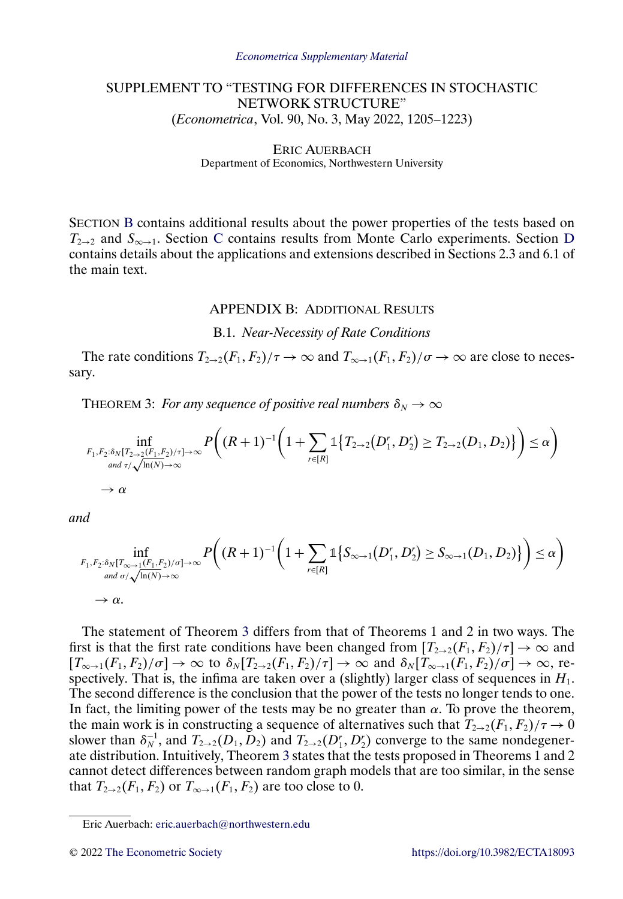# <span id="page-0-0"></span>SUPPLEMENT TO "TESTING FOR DIFFERENCES IN STOCHASTIC NETWORK STRUCTURE" (*Econometrica*, Vol. 90, No. 3, May 2022, 1205–1223)

#### ERIC AUERBACH Department of Economics, Northwestern University

SECTION B contains additional results about the power properties of the tests based on  $T_{2\rightarrow 2}$  and  $S_{\infty \rightarrow 1}$ . Section [C](#page-10-0) contains results from Monte Carlo experiments. Section [D](#page-10-0) contains details about the applications and extensions described in Sections 2.3 and 6.1 of the main text.

#### APPENDIX B: ADDITIONAL RESULTS

#### B.1. *Near-Necessity of Rate Conditions*

The rate conditions  $T_{2\to 2}(F_1, F_2)/\tau \to \infty$  and  $T_{\infty \to 1}(F_1, F_2)/\sigma \to \infty$  are close to necessary.

THEOREM 3: *For any sequence of positive real numbers*  $\delta_N \to \infty$ 

$$
\inf_{\substack{F_1, F_2: \delta_N[T_{2\to 2}(F_1, F_2)/\tau] \to \infty \\ \text{and } \tau/\sqrt{\ln(N)} \to \infty}} P\left((R+1)^{-1}\left(1 + \sum_{r \in [R]} \mathbb{1}\left\{T_{2\to 2}(D_1, D_2^r) \ge T_{2\to 2}(D_1, D_2)\right\}\right) \le \alpha\right)
$$

*and*

$$
\inf_{\substack{F_1, F_2: \delta_N[T_{\infty \to 1}(F_1, F_2)/\sigma] \to \infty \\ \text{and } \sigma/\sqrt{\ln(N)} \to \infty}} P\left((R+1)^{-1}\left(1 + \sum_{r \in [R]} \mathbb{1}\{S_{\infty \to 1}(D_1^r, D_2^r) \ge S_{\infty \to 1}(D_1, D_2)\}\right) \le \alpha\right)
$$

The statement of Theorem 3 differs from that of Theorems 1 and 2 in two ways. The first is that the first rate conditions have been changed from  $[T_{2\rightarrow 2}(F_1, F_2)/\tau] \rightarrow \infty$  and  $[T_{\infty \to 1}(F_1, F_2)/\sigma] \to \infty$  to  $\delta_N[T_{2 \to 2}(F_1, F_2)/\tau] \to \infty$  and  $\delta_N[T_{\infty \to 1}(F_1, F_2)/\sigma] \to \infty$ , respectively. That is, the infima are taken over a (slightly) larger class of sequences in  $H_1$ . The second difference is the conclusion that the power of the tests no longer tends to one. In fact, the limiting power of the tests may be no greater than  $\alpha$ . To prove the theorem, the main work is in constructing a sequence of alternatives such that  $T_{2\rightarrow 2}(F_1, F_2)/\tau \rightarrow 0$ slower than  $\delta_N^{-1}$ , and  $T_{2\to 2}(D_1, D_2)$  and  $T_{2\to 2}(D_1, D_2)$  converge to the same nondegenerate distribution. Intuitively, Theorem 3 states that the tests proposed in Theorems 1 and 2 cannot detect differences between random graph models that are too similar, in the sense that  $T_{2\rightarrow 2}(F_1,F_2)$  or  $T_{\infty\rightarrow 1}(F_1,F_2)$  are too close to 0.

Eric Auerbach: [eric.auerbach@northwestern.edu](mailto:eric.auerbach@northwestern.edu)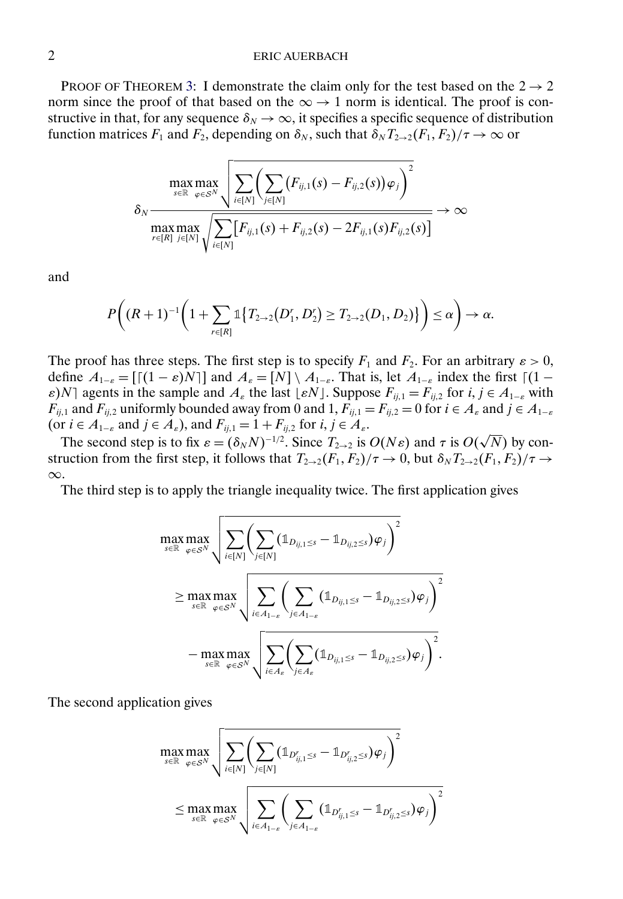PROOF OF THEOREM [3:](#page-0-0) I demonstrate the claim only for the test based on the  $2 \rightarrow 2$ norm since the proof of that based on the  $\infty \rightarrow 1$  norm is identical. The proof is constructive in that, for any sequence  $\delta_N \to \infty$ , it specifies a specific sequence of distribution function matrices  $F_1$  and  $F_2$ , depending on  $\delta_N$ , such that  $\delta_N T_{2\to 2}(F_1,F_2)/\tau \to \infty$  or

$$
\delta_N \frac{\max\limits_{s \in \mathbb{R}} \max\limits_{\varphi \in \mathcal{S}^N} \sqrt{\sum\limits_{i \in [N]} \left( \sum\limits_{j \in [N]} (F_{ij,1}(s) - F_{ij,2}(s)) \varphi_j \right)^2} }{\max\limits_{r \in [R]} \max\limits_{j \in [N]} \sqrt{\sum\limits_{i \in [N]} [F_{ij,1}(s) + F_{ij,2}(s) - 2F_{ij,1}(s)F_{ij,2}(s)]}} \rightarrow \infty
$$

and

$$
P\bigg((R+1)^{-1}\bigg(1+\sum_{r\in[R]}\mathbb{1}\big\{T_{2\to 2}(D_1',D_2')\geq T_{2\to 2}(D_1,D_2)\big\}\bigg)\leq \alpha\bigg)\to\alpha.
$$

The proof has three steps. The first step is to specify  $F_1$  and  $F_2$ . For an arbitrary  $\varepsilon > 0$ , define  $A_{1-\varepsilon} = [[(1-\varepsilon)N]]$  and  $A_{\varepsilon} = [N] \setminus A_{1-\varepsilon}$ . That is, let  $A_{1-\varepsilon}$  index the first  $[(1-\varepsilon)N]$  $\varepsilon$ )N agents in the sample and  $A_{\varepsilon}$  the last  $\lfloor \varepsilon N \rfloor$ . Suppose  $F_{ij,1} = F_{ij,2}$  for  $i, j \in A_{1-\varepsilon}$  with  $F_{ij,1}$  and  $F_{ij,2}$  uniformly bounded away from 0 and 1,  $F_{ij,1} = F_{ij,2} = 0$  for  $i \in A_{\varepsilon}$  and  $j \in A_{1-\varepsilon}$ (or  $i \in A_{1-\varepsilon}$  and  $j \in A_{\varepsilon}$ ), and  $F_{ij,1} = 1 + F_{ij,2}$  for  $i, j \in A_{\varepsilon}$ .

The second step is to fix  $\varepsilon = (\delta_N N)^{-1/2}$ . Since  $T_{2\to 2}$  is  $O(N\varepsilon)$  and  $\tau$  is  $O(\sqrt{N})$  by construction from the first step, it follows that  $T_{2\to 2}(F_1, F_2)/\tau \to 0$ , but  $\delta_N T_{2\to 2}(F_1, F_2)/\tau \to 0$ ∞.

The third step is to apply the triangle inequality twice. The first application gives

$$
\max_{s \in \mathbb{R}} \max_{\varphi \in S^N} \sqrt{\sum_{i \in [N]} \left( \sum_{j \in [N]} (\mathbb{1}_{D_{ij,1} \leq s} - \mathbb{1}_{D_{ij,2} \leq s}) \varphi_j \right)^2}
$$
\n
$$
\geq \max_{s \in \mathbb{R}} \max_{\varphi \in S^N} \sqrt{\sum_{i \in A_{1-\varepsilon}} \left( \sum_{j \in A_{1-\varepsilon}} (\mathbb{1}_{D_{ij,1} \leq s} - \mathbb{1}_{D_{ij,2} \leq s}) \varphi_j \right)^2}
$$
\n
$$
- \max_{s \in \mathbb{R}} \max_{\varphi \in S^N} \sqrt{\sum_{i \in A_{\varepsilon}} \left( \sum_{j \in A_{\varepsilon}} (\mathbb{1}_{D_{ij,1} \leq s} - \mathbb{1}_{D_{ij,2} \leq s}) \varphi_j \right)^2}.
$$

The second application gives

$$
\max_{s \in \mathbb{R}} \max_{\varphi \in S^N} \sqrt{\sum_{i \in [N]} \left( \sum_{j \in [N]} (\mathbb{1}_{D_{ij,1}^r \leq s} - \mathbb{1}_{D_{ij,2}^r \leq s}) \varphi_j \right)^2}
$$
\n
$$
\leq \max_{s \in \mathbb{R}} \max_{\varphi \in S^N} \sqrt{\sum_{i \in A_{1-\varepsilon}} \left( \sum_{j \in A_{1-\varepsilon}} (\mathbb{1}_{D_{ij,1}^r \leq s} - \mathbb{1}_{D_{ij,2}^r \leq s}) \varphi_j \right)^2}
$$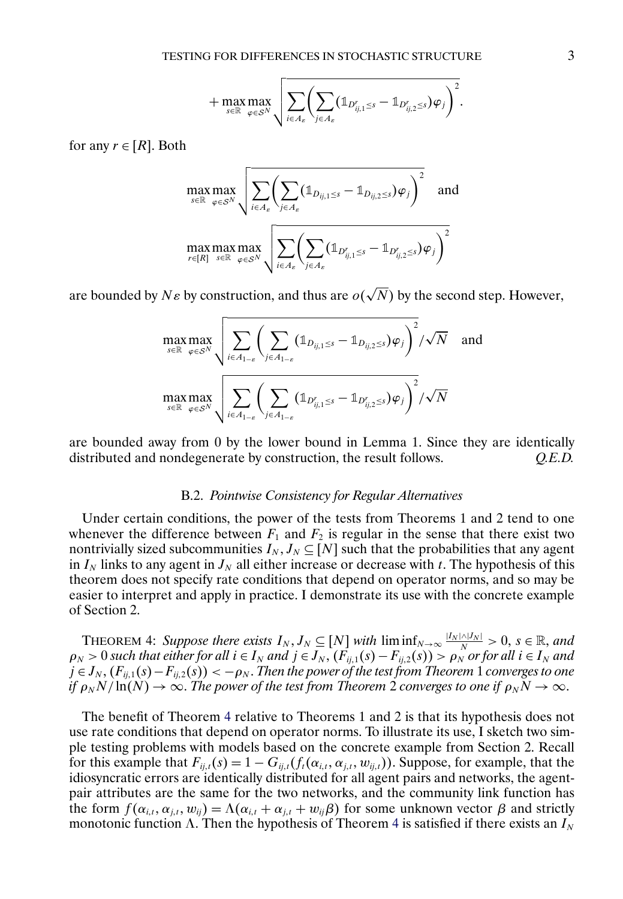$$
+\max_{s\in\mathbb{R}}\max_{\varphi\in\mathcal{S}^N}\sqrt{\sum_{i\in A_{\varepsilon}}\left(\sum_{j\in A_{\varepsilon}}(\mathbb{1}_{D^r_{ij,1}\leq s}-\mathbb{1}_{D^r_{ij,2}\leq s})\varphi_j\right)^2}.
$$

<span id="page-2-0"></span>for any  $r \in [R]$ . Both

$$
\max_{s \in \mathbb{R}} \max_{\varphi \in S^N} \sqrt{\sum_{i \in A_{\varepsilon}} \left( \sum_{j \in A_{\varepsilon}} (\mathbb{1}_{D_{ij,1} \leq s} - \mathbb{1}_{D_{ij,2} \leq s}) \varphi_j \right)^2} \quad \text{and}
$$
  

$$
\max_{r \in [R]} \max_{s \in \mathbb{R}} \max_{\varphi \in S^N} \sqrt{\sum_{i \in A_{\varepsilon}} \left( \sum_{j \in A_{\varepsilon}} (\mathbb{1}_{D'_{ij,1} \leq s} - \mathbb{1}_{D'_{ij,2} \leq s}) \varphi_j \right)^2}
$$

are bounded by  $N\varepsilon$  by construction, and thus are  $o(\sqrt{N})$  by the second step. However,

$$
\max_{s \in \mathbb{R}} \max_{\varphi \in S^N} \sqrt{\sum_{i \in A_{1-\varepsilon}} \left( \sum_{j \in A_{1-\varepsilon}} (\mathbb{1}_{D_{ij,1} \leq s} - \mathbb{1}_{D_{ij,2} \leq s}) \varphi_j \right)^2} / \sqrt{N} \quad \text{and}
$$
  

$$
\max_{s \in \mathbb{R}} \max_{\varphi \in S^N} \sqrt{\sum_{i \in A_{1-\varepsilon}} \left( \sum_{j \in A_{1-\varepsilon}} (\mathbb{1}_{D_{ij,1}^r \leq s} - \mathbb{1}_{D_{ij,2}^r \leq s}) \varphi_j \right)^2} / \sqrt{N}
$$

are bounded away from 0 by the lower bound in Lemma 1. Since they are identically distributed and nondegenerate by construction, the result follows. *Q.E.D.*

#### B.2. *Pointwise Consistency for Regular Alternatives*

Under certain conditions, the power of the tests from Theorems 1 and 2 tend to one whenever the difference between  $F_1$  and  $F_2$  is regular in the sense that there exist two nontrivially sized subcommunities  $I_N, J_N \subseteq [N]$  such that the probabilities that any agent in  $I_N$  links to any agent in  $J_N$  all either increase or decrease with t. The hypothesis of this theorem does not specify rate conditions that depend on operator norms, and so may be easier to interpret and apply in practice. I demonstrate its use with the concrete example of Section 2.

THEOREM 4: Suppose there exists  $I_N, J_N \subseteq [N]$  with  $\liminf_{N \to \infty} \frac{|I_N \cap |J_N|}{N} > 0$ ,  $s \in \mathbb{R}$ , and  $\rho_N > 0$  such that either for all  $i \in I_N$  and  $j \in J_N$ ,  $(F_{ij,1}(s) - F_{ij,2}(s)) > \rho_N$  or for all  $i \in I_N$  and  $j \in J_N$  ,  $(F_{ij,1}(s) - F_{ij,2}(s)) < -\rho_N$  . Then the power of the test from Theorem  $1$  converges to one *if*  $\rho_N N / \ln(N) \to \infty$ . *The power of the test from Theorem 2 converges to one if*  $\rho_N N \to \infty$ .

The benefit of Theorem 4 relative to Theorems 1 and 2 is that its hypothesis does not use rate conditions that depend on operator norms. To illustrate its use, I sketch two simple testing problems with models based on the concrete example from Section 2. Recall for this example that  $F_{ij,t}(s) = 1 - G_{ij,t}(f_t(\alpha_{i,t}, \alpha_{j,t}, w_{ij,t}))$ . Suppose, for example, that the idiosyncratic errors are identically distributed for all agent pairs and networks, the agentpair attributes are the same for the two networks, and the community link function has the form  $f(\alpha_{i,t}, \alpha_{j,t}, w_{ij}) = \Lambda(\alpha_{i,t} + \alpha_{j,t} + w_{ij}\beta)$  for some unknown vector  $\beta$  and strictly monotonic function  $\Lambda$ . Then the hypothesis of Theorem 4 is satisfied if there exists an  $I_N$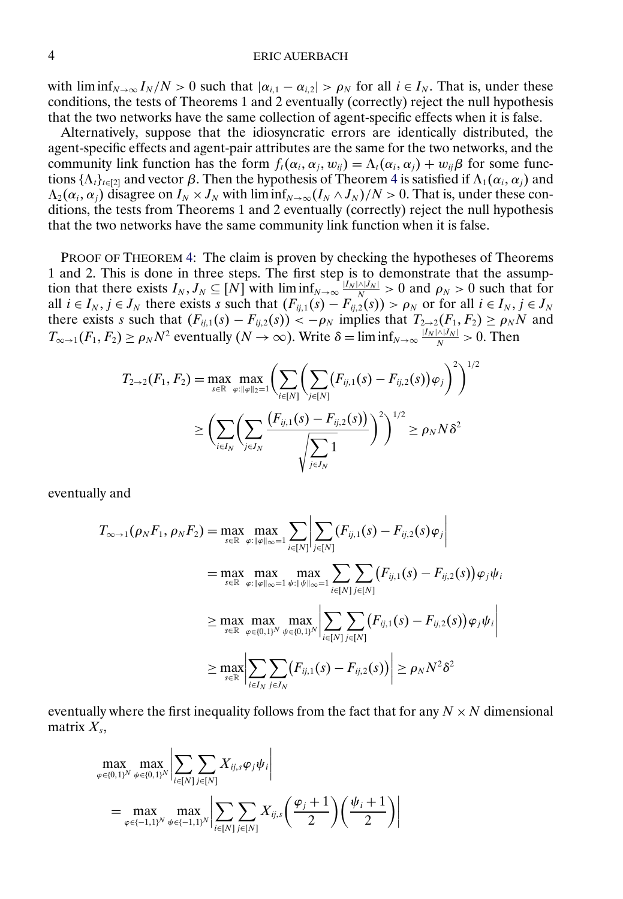with  $\liminf_{N\to\infty} I_N/N > 0$  such that  $|\alpha_{i,1} - \alpha_{i,2}| > \rho_N$  for all  $i \in I_N$ . That is, under these conditions, the tests of Theorems 1 and 2 eventually (correctly) reject the null hypothesis that the two networks have the same collection of agent-specific effects when it is false.

Alternatively, suppose that the idiosyncratic errors are identically distributed, the agent-specific effects and agent-pair attributes are the same for the two networks, and the community link function has the form  $f_i(\alpha_i, \alpha_j, w_{ij}) = \Lambda_i(\alpha_i, \alpha_j) + w_{ij}\beta$  for some functions { $\Lambda_t$ }<sub>t∈[2]</sub> and vector  $\beta$ . Then the hypothesis of Theorem [4](#page-2-0) is satisfied if  $\Lambda_1(\alpha_i, \alpha_j)$  and  $\Lambda_2(\alpha_i, \alpha_j)$  disagree on  $I_N \times J_N$  with lim inf $\Lambda_{N\to\infty}(I_N \wedge J_N)/N > 0$ . That is, under these conditions, the tests from Theorems 1 and 2 eventually (correctly) reject the null hypothesis that the two networks have the same community link function when it is false.

PROOF OF THEOREM [4:](#page-2-0) The claim is proven by checking the hypotheses of Theorems 1 and 2. This is done in three steps. The first step is to demonstrate that the assumption that there exists  $I_N$ ,  $J_N \subseteq [N]$  with  $\liminf_{N \to \infty} \frac{|I_N| \wedge |I_N|}{N} > 0$  and  $\rho_N > 0$  such that for all  $i \in I_N$ ,  $j \in J_N$  there exists s such that  $(F_{ij,1}(s) - F_{ij,2}(s)) > \rho_N$  or for all  $i \in I_N$ ,  $j \in J_N$ there exists s such that  $(F_{ij,1}(s) - F_{ij,2}(s)) < -\rho_N$  implies that  $T_{2\to 2}(F_1, F_2) \ge \rho_N N$  and  $T_{\infty \to 1}(F_1, F_2) \ge \rho_N N^2$  eventually  $(N \to \infty)$ . Write  $\delta = \liminf_{N \to \infty} \frac{|I_N \cap |J_N|}{N} > 0$ . Then

$$
T_{2\to 2}(F_1, F_2) = \max_{s \in \mathbb{R}} \max_{\varphi: \|\varphi\|_2 = 1} \left( \sum_{i \in [N]} \left( \sum_{j \in [N]} (F_{ij,1}(s) - F_{ij,2}(s)) \varphi_j \right)^2 \right)^{1/2}
$$
  
 
$$
\geq \left( \sum_{i \in I_N} \left( \sum_{j \in J_N} \frac{(F_{ij,1}(s) - F_{ij,2}(s))}{\sqrt{\sum_{j \in J_N} 1}} \right)^2 \right)^{1/2} \geq \rho_N N \delta^2
$$

eventually and

$$
T_{\infty \to 1}(\rho_N F_1, \rho_N F_2) = \max_{s \in \mathbb{R}} \max_{\varphi: \|\varphi\|_{\infty} = 1} \sum_{i \in [N]} \left| \sum_{j \in [N]} (F_{ij,1}(s) - F_{ij,2}(s)\varphi_j) \right|
$$
  
\n
$$
= \max_{s \in \mathbb{R}} \max_{\varphi: \|\varphi\|_{\infty} = 1} \max_{\psi: \|\psi\|_{\infty} = 1} \sum_{i \in [N]} \sum_{j \in [N]} (F_{ij,1}(s) - F_{ij,2}(s))\varphi_j \psi_i
$$
  
\n
$$
\geq \max_{s \in \mathbb{R}} \max_{\varphi \in \{0,1\}^N} \max_{\psi \in \{0,1\}^N} \left| \sum_{i \in [N]} \sum_{j \in [N]} (F_{ij,1}(s) - F_{ij,2}(s))\varphi_j \psi_i \right|
$$
  
\n
$$
\geq \max_{s \in \mathbb{R}} \left| \sum_{i \in I_N} \sum_{j \in J_N} (F_{ij,1}(s) - F_{ij,2}(s)) \right| \geq \rho_N N^2 \delta^2
$$

eventually where the first inequality follows from the fact that for any  $N \times N$  dimensional matrix  $X_s$ ,

$$
\max_{\varphi \in \{0,1\}^N} \max_{\psi \in \{0,1\}^N} \left| \sum_{i \in [N]} \sum_{j \in [N]} X_{ij,s} \varphi_j \psi_i \right|
$$
\n
$$
= \max_{\varphi \in \{-1,1\}^N} \max_{\psi \in \{-1,1\}^N} \left| \sum_{i \in [N]} \sum_{j \in [N]} X_{ij,s} \left( \frac{\varphi_j + 1}{2} \right) \left( \frac{\psi_i + 1}{2} \right) \right|
$$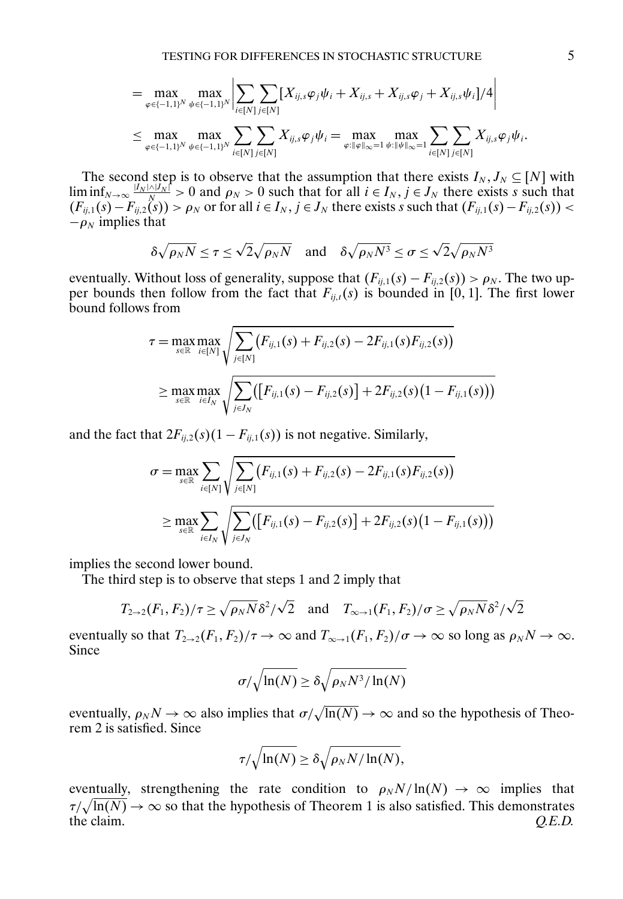$$
= \max_{\varphi \in \{-1,1\}^N} \max_{\psi \in \{-1,1\}^N} \left| \sum_{i \in [N]} \sum_{j \in [N]} [X_{ij,s} \varphi_j \psi_i + X_{ij,s} + X_{ij,s} \varphi_j + X_{ij,s} \psi_i] / 4 \right|
$$
  

$$
\leq \max_{\varphi \in \{-1,1\}^N} \max_{\psi \in \{-1,1\}^N} \sum_{i \in [N]} \sum_{j \in [N]} X_{ij,s} \varphi_j \psi_i = \max_{\varphi : \|\varphi\|_{\infty} = 1} \max_{\psi : \|\psi\|_{\infty} = 1} \sum_{i \in [N]} \sum_{j \in [N]} X_{ij,s} \varphi_j \psi_i.
$$

The second step is to observe that the assumption that there exists  $I_N, J_N \subseteq [N]$  with  $\liminf_{N\to\infty} \frac{|I_N|\wedge |I_N|}{N} > 0$  and  $\rho_N > 0$  such that for all  $i \in I_N$ ,  $j \in J_N$  there exists s such that  $(F_{ij,1}(s) - F_{ij,2}(s)) > \rho_N$  or for all  $i \in I_N$ ,  $j \in J_N$  there exists s such that  $(F_{ij,1}(s) - F_{ij,2}(s)) <$  $-\rho_N$  implies that

$$
\delta\sqrt{\rho_N N} \le \tau \le \sqrt{2}\sqrt{\rho_N N} \quad \text{and} \quad \delta\sqrt{\rho_N N^3} \le \sigma \le \sqrt{2}\sqrt{\rho_N N^3}
$$

eventually. Without loss of generality, suppose that  $(F_{ij,1}(s) - F_{ij,2}(s)) > \rho_N$ . The two upper bounds then follow from the fact that  $F_{ij,t}(s)$  is bounded in [0, 1]. The first lower bound follows from

$$
\tau = \max_{s \in \mathbb{R}} \max_{i \in [N]} \sqrt{\sum_{j \in [N]} (F_{ij,1}(s) + F_{ij,2}(s) - 2F_{ij,1}(s)F_{ij,2}(s))}
$$
\n
$$
\geq \max_{s \in \mathbb{R}} \max_{i \in I_N} \sqrt{\sum_{j \in J_N} ([F_{ij,1}(s) - F_{ij,2}(s)] + 2F_{ij,2}(s)(1 - F_{ij,1}(s)))}
$$

and the fact that  $2F_{ij,2}(s)(1 - F_{ij,1}(s))$  is not negative. Similarly,

$$
\sigma = \max_{s \in \mathbb{R}} \sum_{i \in [N]} \sqrt{\sum_{j \in [N]} (F_{ij,1}(s) + F_{ij,2}(s) - 2F_{ij,1}(s)F_{ij,2}(s))}
$$
  
 
$$
\geq \max_{s \in \mathbb{R}} \sum_{i \in I_N} \sqrt{\sum_{j \in J_N} ([F_{ij,1}(s) - F_{ij,2}(s)] + 2F_{ij,2}(s)(1 - F_{ij,1}(s)))}
$$

implies the second lower bound.

The third step is to observe that steps 1 and 2 imply that

$$
T_{2\to 2}(F_1, F_2)/\tau \ge \sqrt{\rho_N N} \delta^2/\sqrt{2}
$$
 and  $T_{\infty \to 1}(F_1, F_2)/\sigma \ge \sqrt{\rho_N N} \delta^2/\sqrt{2}$ 

eventually so that  $T_{2\to 2}(F_1, F_2)/\tau \to \infty$  and  $T_{\infty \to 1}(F_1, F_2)/\sigma \to \infty$  so long as  $\rho_N N \to \infty$ . Since

$$
\sigma/\sqrt{\ln(N)} \ge \delta\sqrt{\rho_N N^3/\ln(N)}
$$

eventually,  $\rho_N N \to \infty$  also implies that  $\sigma/\sqrt{\ln(N)} \to \infty$  and so the hypothesis of Theorem 2 is satisfied. Since

$$
\tau/\sqrt{\ln(N)} \ge \delta \sqrt{\rho_N N/\ln(N)},
$$

eventually, strengthening the rate condition to  $\rho_N N / \ln(N) \to \infty$  implies that  $\tau/\sqrt{\ln(N)} \to \infty$  so that the hypothesis of Theorem 1 is also satisfied. This demonstrates the claim.  $Q.E.D.$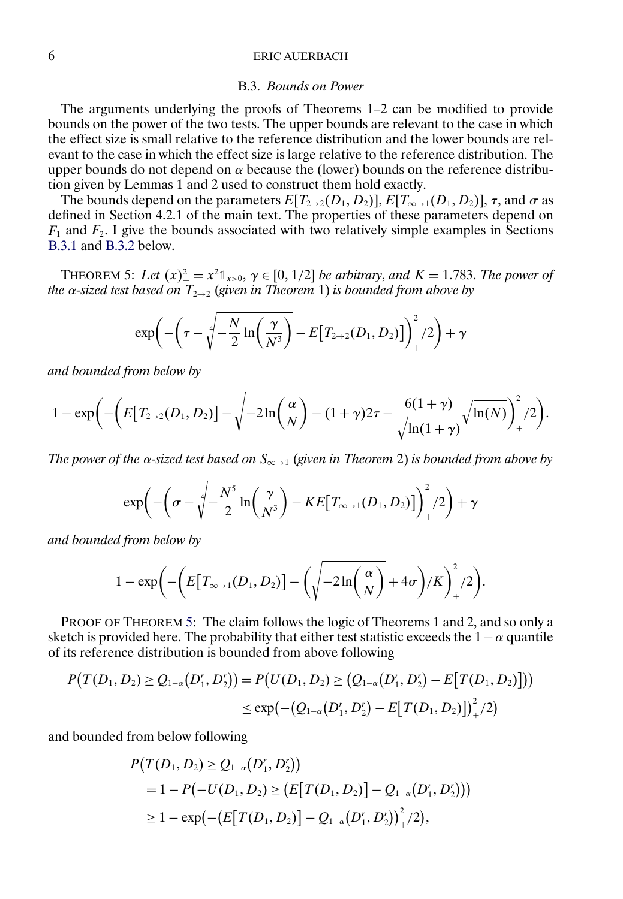#### B.3. *Bounds on Power*

<span id="page-5-0"></span>The arguments underlying the proofs of Theorems 1–2 can be modified to provide bounds on the power of the two tests. The upper bounds are relevant to the case in which the effect size is small relative to the reference distribution and the lower bounds are relevant to the case in which the effect size is large relative to the reference distribution. The upper bounds do not depend on  $\alpha$  because the (lower) bounds on the reference distribution given by Lemmas 1 and 2 used to construct them hold exactly.

The bounds depend on the parameters  $E[T_{2\to 2}(D_1, D_2)]$ ,  $E[T_{\infty \to 1}(D_1, D_2)]$ ,  $\tau$ , and  $\sigma$  as defined in Section 4.2.1 of the main text. The properties of these parameters depend on  $F_1$  and  $F_2$ . I give the bounds associated with two relatively simple examples in Sections [B.3.1](#page-8-0) and [B.3.2](#page-8-0) below.

THEOREM 5: Let  $(x)_+^2 = x^2 \mathbb{1}_{x>0}, y \in [0, 1/2]$  *be arbitrary, and*  $K = 1.783$ . The power of *the* α*-sized test based on* T<sup>2</sup>→<sup>2</sup> (*given in Theorem* 1) *is bounded from above by*

$$
\exp\biggl(-\biggl(\tau-\sqrt[4]{-\frac{N}{2}\ln\biggl(\frac{\gamma}{N^3}\biggr)}-E\bigl[T_{2\to 2}(D_1,D_2)\bigr]\biggr)_+^2/2\biggr)+\gamma
$$

*and bounded from below by*

$$
1 - \exp\left(-\left(E[T_{2\to 2}(D_1, D_2)] - \sqrt{-2\ln\left(\frac{\alpha}{N}\right)} - (1+\gamma)2\tau - \frac{6(1+\gamma)}{\sqrt{\ln(1+\gamma)}}\sqrt{\ln(N)}\right)^2_+/2\right).
$$

*The power of the* α*-sized test based on* S∞→<sup>1</sup> (*given in Theorem* 2) *is bounded from above by*

$$
\exp\biggl(-\biggl(\sigma-\sqrt[4]{-\frac{N^5}{2}\ln\biggl(\frac{\gamma}{N^3}\biggr)}-KE\bigl[T_{\infty\to 1}(D_1,D_2)\bigr]\biggr)^2_+/2\biggr)+\gamma
$$

*and bounded from below by*

$$
1-\exp\biggl(-\biggl(E\bigl[T_{\infty\to 1}(D_1,D_2)\bigr]-\biggl(\sqrt{-2\ln\biggl(\frac{\alpha}{N}\biggr)}+4\sigma\biggr)/K\biggr)^2_+/2\biggr).
$$

PROOF OF THEOREM 5: The claim follows the logic of Theorems 1 and 2, and so only a sketch is provided here. The probability that either test statistic exceeds the  $1-\alpha$  quantile of its reference distribution is bounded from above following

$$
P(T(D_1, D_2) \ge Q_{1-\alpha}(D_1^r, D_2^r)) = P(U(D_1, D_2) \ge (Q_{1-\alpha}(D_1^r, D_2^r) - E[T(D_1, D_2)]))
$$
  

$$
\le \exp(-(Q_{1-\alpha}(D_1^r, D_2^r) - E[T(D_1, D_2)]_{+}^2/2)
$$

and bounded from below following

$$
P(T(D_1, D_2) \ge Q_{1-\alpha}(D_1', D_2'))
$$
  
= 1 - P(-U(D\_1, D\_2) \ge (E[T(D\_1, D\_2)] - Q\_{1-\alpha}(D\_1', D\_2')))  

$$
\ge 1 - \exp(-(E[T(D_1, D_2)] - Q_{1-\alpha}(D_1', D_2'))^2_{+}/2),
$$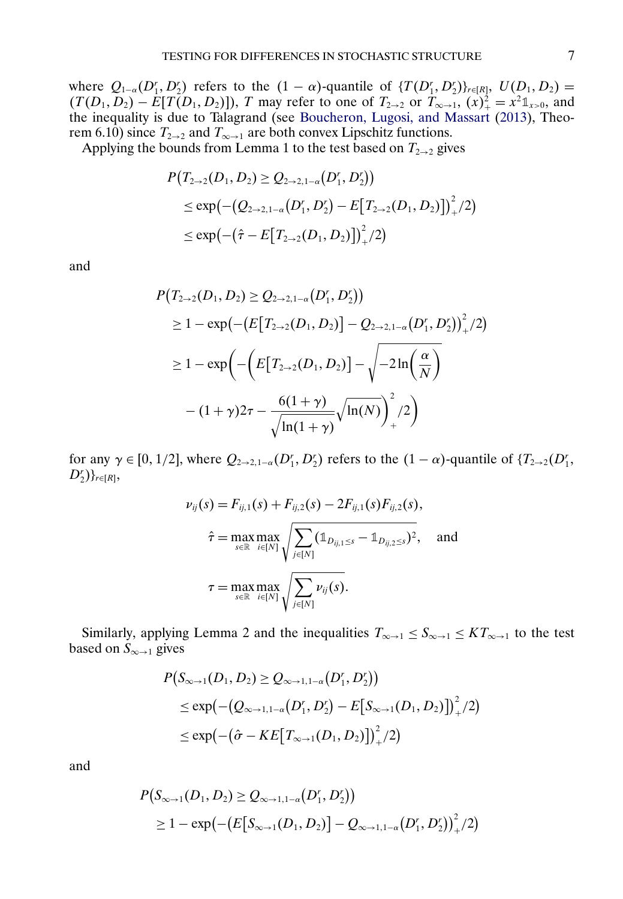<span id="page-6-0"></span>where  $Q_{1-\alpha}(D_1^r, D_2^r)$  refers to the  $(1-\alpha)$ -quantile of  $\{T(D_1^r, D_2^r)\}_{r \in [R]}, U(D_1, D_2)$  =  $(T(D_1, D_2) - E[T(D_1, D_2)]$ , T may refer to one of  $T_{2\to 2}$  or  $T_{\infty \to 1}$ ,  $(x)_{+}^2 = x^2 \mathbb{1}_{x>0}$ , and the inequality is due to Talagrand (see [Boucheron, Lugosi, and Massart](#page-17-0) [\(2013\)](#page-17-0), Theorem 6.10) since  $T_{2\rightarrow 2}$  and  $T_{\infty \rightarrow 1}$  are both convex Lipschitz functions.

Applying the bounds from Lemma 1 to the test based on  $T_{2\rightarrow 2}$  gives

$$
P(T_{2\to 2}(D_1, D_2) \ge Q_{2\to 2, 1-\alpha}(D_1', D_2'))
$$
  
\n
$$
\le \exp(-(Q_{2\to 2, 1-\alpha}(D_1', D_2') - E[T_{2\to 2}(D_1, D_2)]\bigg)_+^2/2)
$$
  
\n
$$
\le \exp(-( \hat{\tau} - E[T_{2\to 2}(D_1, D_2)]\bigg)_+^2/2)
$$

and

$$
P(T_{2\to 2}(D_1, D_2) \ge Q_{2\to 2, 1-\alpha}(D_1^r, D_2^r))
$$
  
\n
$$
\ge 1 - \exp(-(E[T_{2\to 2}(D_1, D_2)] - Q_{2\to 2, 1-\alpha}(D_1^r, D_2^r))^2_{+}/2)
$$
  
\n
$$
\ge 1 - \exp\left(-\left(E[T_{2\to 2}(D_1, D_2)] - \sqrt{-2\ln\left(\frac{\alpha}{N}\right)} - (1+\gamma)2\tau - \frac{6(1+\gamma)}{\sqrt{\ln(1+\gamma)}}\sqrt{\ln(N)}\right)^2_{+}/2\right)
$$

for any  $\gamma \in [0, 1/2]$ , where  $Q_{2\rightarrow 2,1-\alpha}(D_1^r, D_2^r)$  refers to the  $(1-\alpha)$ -quantile of  $\{T_{2\rightarrow 2}(D_1^r, D_2^r)\}$  $D_2^r)\}_{r \in [R]},$ 

$$
\nu_{ij}(s) = F_{ij,1}(s) + F_{ij,2}(s) - 2F_{ij,1}(s)F_{ij,2}(s),
$$
  

$$
\hat{\tau} = \max_{s \in \mathbb{R}} \max_{i \in [N]} \sqrt{\sum_{j \in [N]} (\mathbb{1}_{D_{ij,1} \le s} - \mathbb{1}_{D_{ij,2} \le s})^2}, \text{ and}
$$
  

$$
\tau = \max_{s \in \mathbb{R}} \max_{i \in [N]} \sqrt{\sum_{j \in [N]} \nu_{ij}(s)}.
$$

Similarly, applying Lemma 2 and the inequalities  $T_{\infty \to 1} \leq S_{\infty \to 1} \leq KT_{\infty \to 1}$  to the test based on  $S_{\infty \to 1}$  gives

$$
P(S_{\infty \to 1}(D_1, D_2) \ge Q_{\infty \to 1, 1-\alpha}(D_1', D_2'))
$$
  
\n
$$
\le \exp(-(Q_{\infty \to 1, 1-\alpha}(D_1', D_2') - E[S_{\infty \to 1}(D_1, D_2)]_{+}^2/2)
$$
  
\n
$$
\le \exp(-( \hat{\sigma} - KE[T_{\infty \to 1}(D_1, D_2)])_{+}^2/2)
$$

and

$$
P(S_{\infty \to 1}(D_1, D_2) \ge Q_{\infty \to 1, 1-\alpha}(D_1', D_2'))
$$
  
 
$$
\ge 1 - \exp(-\big(E[S_{\infty \to 1}(D_1, D_2)\big] - Q_{\infty \to 1, 1-\alpha}(D_1', D_2')\big)^2_+/2)
$$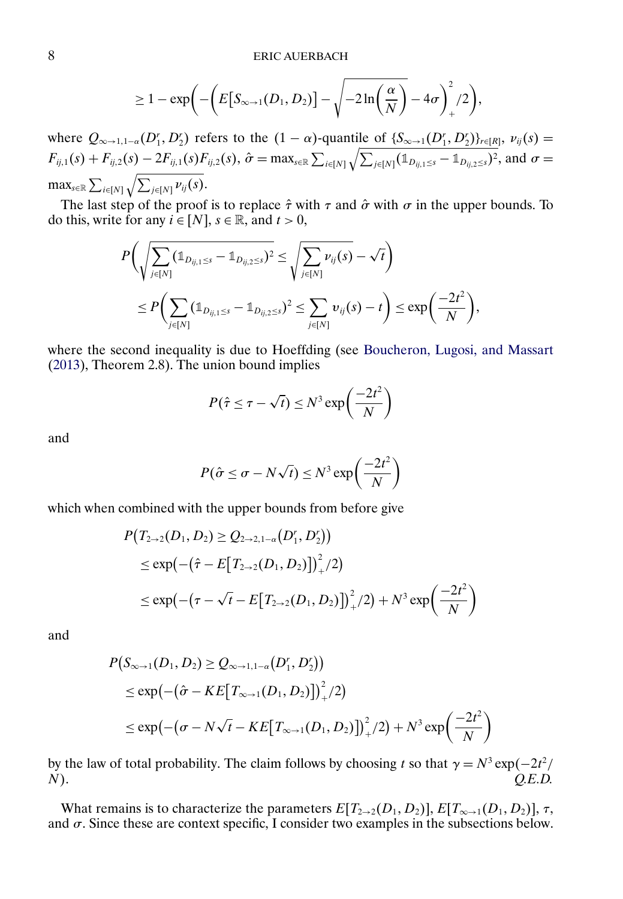$$
\geq 1-\exp\biggl(-\biggl(E\bigl[S_{\infty\to 1}(D_1,D_2)\bigr]-\sqrt{-2\ln\biggl(\frac{\alpha}{N}\bigl)}-4\sigma\biggr)^2_+/2\biggr),
$$

<span id="page-7-0"></span>where  $Q_{\infty\to 1,1-\alpha}(D_1', D_2')$  refers to the  $(1-\alpha)$ -quantile of  $\{S_{\infty\to 1}(D_1', D_2')\}_{r\in [R]}, \nu_{ij}(s)$  $F_{ij,1}(s) + F_{ij,2}(s) - 2F_{ij,1}(s)F_{ij,2}(s), \hat{\sigma} = \max_{s \in \mathbb{R}} \sum_{i \in [N]} \sqrt{\sum_{j \in [N]} (\mathbb{1}_{D_{ij,1} \leq s} - \mathbb{1}_{D_{ij,2} \leq s})^2}, \text{ and } \sigma =$  $\max_{s \in \mathbb{R}} \sum_{i \in [N]} \sqrt{\sum_{j \in [N]} \nu_{ij}(s)}.$ 

The last step of the proof is to replace  $\hat{\tau}$  with  $\tau$  and  $\hat{\sigma}$  with  $\sigma$  in the upper bounds. To do this, write for any  $i \in [N]$ ,  $s \in \mathbb{R}$ , and  $t > 0$ ,

$$
P\bigg(\sqrt{\sum_{j\in[N]} (\mathbb{1}_{D_{ij,1}\leq s}-\mathbb{1}_{D_{ij,2}\leq s})^2} \leq \sqrt{\sum_{j\in[N]} \nu_{ij}(s)} - \sqrt{t}\bigg)
$$
  

$$
\leq P\bigg(\sum_{j\in[N]} (\mathbb{1}_{D_{ij,1}\leq s}-\mathbb{1}_{D_{ij,2}\leq s})^2 \leq \sum_{j\in[N]} \nu_{ij}(s) - t\bigg) \leq \exp\bigg(\frac{-2t^2}{N}\bigg),
$$

where the second inequality is due to Hoeffding (see [Boucheron, Lugosi, and Massart](#page-17-0) [\(2013\)](#page-17-0), Theorem 2.8). The union bound implies

$$
P(\hat{\tau} \leq \tau - \sqrt{t}) \leq N^3 \exp\left(\frac{-2t^2}{N}\right)
$$

and

$$
P(\hat{\sigma} \le \sigma - N\sqrt{t}) \le N^3 \exp\left(\frac{-2t^2}{N}\right)
$$

which when combined with the upper bounds from before give

$$
P(T_{2\to 2}(D_1, D_2) \ge Q_{2\to 2,1-\alpha}(D_1', D_2'))
$$
  
\n
$$
\le \exp\left(-(\hat{\tau} - E[T_{2\to 2}(D_1, D_2)]\right)_+^2/2\right)
$$
  
\n
$$
\le \exp\left(-(\tau - \sqrt{t} - E[T_{2\to 2}(D_1, D_2)]\right)_+^2/2\right) + N^3 \exp\left(\frac{-2t^2}{N}\right)
$$

and

$$
P(S_{\infty \to 1}(D_1, D_2) \ge Q_{\infty \to 1, 1-\alpha}(D'_1, D'_2))
$$
  
\n
$$
\le \exp(-( \hat{\sigma} - KE[T_{\infty \to 1}(D_1, D_2)])_+^2/2)
$$
  
\n
$$
\le \exp(-( \sigma - N\sqrt{t} - KE[T_{\infty \to 1}(D_1, D_2)])_+^2/2) + N^3 \exp\left(\frac{-2t^2}{N}\right)
$$

by the law of total probability. The claim follows by choosing t so that  $\gamma = N^3 \exp(-2t^2)$ N). *Q.E.D.*

What remains is to characterize the parameters  $E[T_{2\to 2}(D_1, D_2)]$ ,  $E[T_{\infty \to 1}(D_1, D_2)]$ ,  $\tau$ , and  $\sigma$ . Since these are context specific, I consider two examples in the subsections below.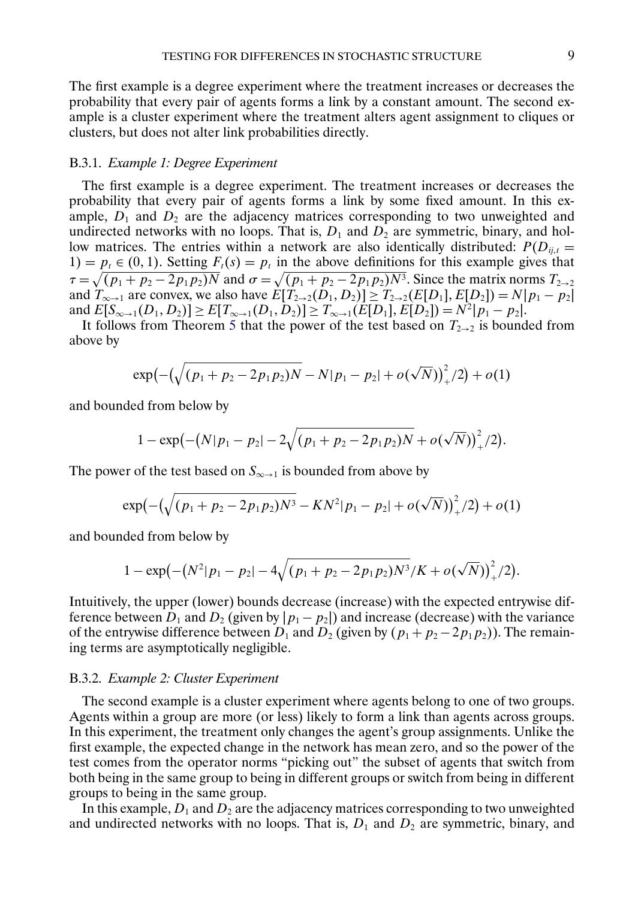<span id="page-8-0"></span>The first example is a degree experiment where the treatment increases or decreases the probability that every pair of agents forms a link by a constant amount. The second example is a cluster experiment where the treatment alters agent assignment to cliques or clusters, but does not alter link probabilities directly.

### B.3.1. *Example 1: Degree Experiment*

The first example is a degree experiment. The treatment increases or decreases the probability that every pair of agents forms a link by some fixed amount. In this example,  $D_1$  and  $D_2$  are the adjacency matrices corresponding to two unweighted and undirected networks with no loops. That is,  $D_1$  and  $D_2$  are symmetric, binary, and hollow matrices. The entries within a network are also identically distributed:  $P(D_{ij,t} =$ 1) =  $p_t \in (0, 1)$ . Setting  $F_t(s) = p_t$  in the above definitions for this example gives that  $\tau = \sqrt{(p_1 + p_2 - 2p_1p_2)N}$  and  $\sigma = \sqrt{(p_1 + p_2 - 2p_1p_2)N^3}$ . Since the matrix norms  $T_{2\to 2}$ and  $T_{\infty \to 1}$  are convex, we also have  $E[T_{2\to 2}(D_1, D_2)] \geq T_{2\to 2}(E[D_1], E[D_2]) = N|p_1 - p_2|$ and  $E[S_{\infty \to 1}(D_1, D_2)] \ge E[T_{\infty \to 1}(D_1, D_2)] \ge T_{\infty \to 1}(E[D_1], E[D_2]) = N^2 |p_1 - p_2|$ .

It follows from Theorem [5](#page-5-0) that the power of the test based on  $T_{2\rightarrow 2}$  is bounded from above by

$$
\exp\left(-\left(\sqrt{(p_1+p_2-2p_1p_2)N}-N|p_1-p_2|+o(\sqrt{N})\right)^2_{+}/2\right)+o(1)
$$

and bounded from below by

$$
1-\exp(-(N|p_1-p_2|-2\sqrt{(p_1+p_2-2p_1p_2)N}+o(\sqrt{N}))^2_{+}/2).
$$

The power of the test based on  $S_{\infty \to 1}$  is bounded from above by

$$
\exp\left(-\left(\sqrt{(p_1+p_2-2p_1p_2)N^3}-KN^2|p_1-p_2|+o(\sqrt{N})\right)_+^2/2\right)+o(1)
$$

and bounded from below by

$$
1 - \exp(-(N^2|p_1-p_2|-4\sqrt{(p_1+p_2-2p_1p_2)N^3/K}+o(\sqrt{N}))_+^2/2).
$$

Intuitively, the upper (lower) bounds decrease (increase) with the expected entrywise difference between  $D_1$  and  $D_2$  (given by  $|p_1 - p_2|$ ) and increase (decrease) with the variance of the entrywise difference between  $D_1$  and  $D_2$  (given by  $(p_1 + p_2 - 2p_1p_2)$ ). The remaining terms are asymptotically negligible.

## B.3.2. *Example 2: Cluster Experiment*

The second example is a cluster experiment where agents belong to one of two groups. Agents within a group are more (or less) likely to form a link than agents across groups. In this experiment, the treatment only changes the agent's group assignments. Unlike the first example, the expected change in the network has mean zero, and so the power of the test comes from the operator norms "picking out" the subset of agents that switch from both being in the same group to being in different groups or switch from being in different groups to being in the same group.

In this example,  $D_1$  and  $D_2$  are the adjacency matrices corresponding to two unweighted and undirected networks with no loops. That is,  $D_1$  and  $D_2$  are symmetric, binary, and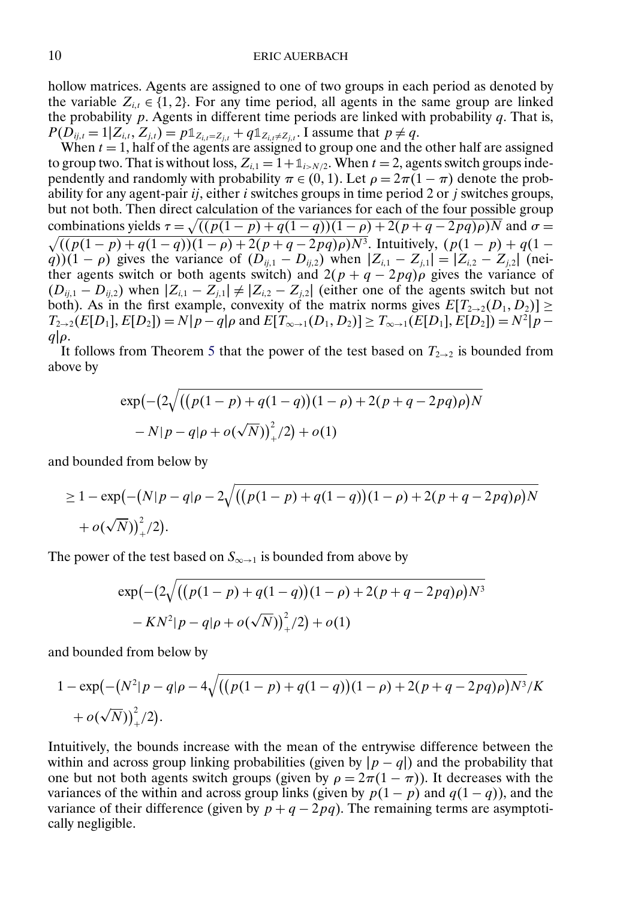hollow matrices. Agents are assigned to one of two groups in each period as denoted by the variable  $Z_{i,t} \in \{1,2\}$ . For any time period, all agents in the same group are linked the probability  $p$ . Agents in different time periods are linked with probability  $q$ . That is,  $P(D_{ij,t} = 1 | Z_{i,t}, Z_{j,t}) = p \mathbb{1}_{Z_{i,t} = Z_{j,t}} + q \mathbb{1}_{Z_{i,t} \neq Z_{j,t}}$ . I assume that  $p \neq q$ .

When  $t = 1$ , half of the agents are assigned to group one and the other half are assigned to group two. That is without loss,  $Z_{i,1} = 1 + \mathbb{1}_{i>N/2}$ . When  $t = 2$ , agents switch groups independently and randomly with probability  $\pi \in (0, 1)$ . Let  $\rho = 2\pi(1 - \pi)$  denote the probability for any agent-pair  $i_j$ , either i switches groups in time period 2 or j switches groups, but not both. Then direct calculation of the variances for each of the four possible group combinations yields  $\tau = \sqrt{((p(1-p) + q(1-q))(1-\rho) + 2(p+q-2pq)\rho)N}$  and  $\sigma = \sqrt{((p(1-p) + q(1-q))(1-\rho) + 2(p+q-2pq)\rho)N}$ . Intuitively,  $(p(1-p) + q(1-p))$ q))(1 –  $\rho$ ) gives the variance of  $(D_{ij,1} - D_{ij,2})$  when  $|Z_{i,1} - Z_{j,1}| = |Z_{i,2} - Z_{j,2}|$  (neither agents switch or both agents switch) and  $2(p+q-2pq)\rho$  gives the variance of  $(D_{ij,1} - D_{ij,2})$  when  $|Z_{i,1} - Z_{j,1}| \neq |Z_{i,2} - Z_{j,2}|$  (either one of the agents switch but not both). As in the first example, convexity of the matrix norms gives  $E[T_{2\rightarrow 2}(D_1, D_2)] \ge$  $T_{2\rightarrow 2}(E[D_1], E[D_2]) = N|p - q|\rho$  and  $E[T_{\infty \rightarrow 1}(D_1, D_2)] \ge T_{\infty \rightarrow 1}(E[D_1], E[D_2]) = N^2|p - q|$  $q|\rho$ .

It follows from Theorem [5](#page-5-0) that the power of the test based on  $T_{2\rightarrow 2}$  is bounded from above by

$$
\exp(-(2\sqrt{((p(1-p)+q(1-q))(1-\rho)+2(p+q-2pq)\rho})N - N|p-q|\rho+o(\sqrt{N}))^2/(2)+o(1)
$$

and bounded from below by

$$
\geq 1 - \exp(-(N|p - q|\rho - 2\sqrt{((p(1 - p) + q(1 - q))(1 - \rho) + 2(p + q - 2pq)\rho})N + o(\sqrt{N}))^2/2).
$$

The power of the test based on  $S_{\infty \to 1}$  is bounded from above by

$$
\exp(-(2\sqrt{((p(1-p)+q(1-q))(1-p)+2(p+q-2pq)\rho})N^3 -KN^2|p-q|\rho+o(\sqrt{N}))_+^2/2)+o(1)
$$

and bounded from below by

$$
1 - \exp(-(N^{2}|p-q|\rho-4\sqrt{((p(1-p)+q(1-q))(1-\rho)+2(p+q-2pq)\rho})N^{3}}/K + o(\sqrt{N}))_{+}^{2}/2).
$$

Intuitively, the bounds increase with the mean of the entrywise difference between the within and across group linking probabilities (given by  $|p - q|$ ) and the probability that one but not both agents switch groups (given by  $\rho = 2\pi(1 - \pi)$ ). It decreases with the variances of the within and across group links (given by  $p(1-p)$  and  $q(1-q)$ ), and the variance of their difference (given by  $p + q - 2pq$ ). The remaining terms are asymptotically negligible.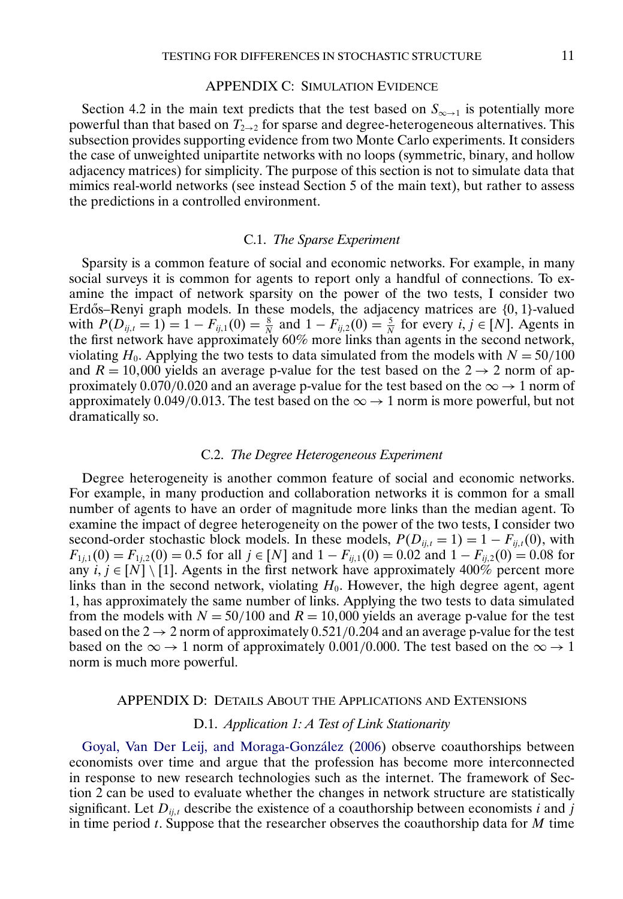#### APPENDIX C: SIMULATION EVIDENCE

<span id="page-10-0"></span>Section 4.2 in the main text predicts that the test based on  $S_{\infty \to 1}$  is potentially more powerful than that based on  $T_{2\rightarrow 2}$  for sparse and degree-heterogeneous alternatives. This subsection provides supporting evidence from two Monte Carlo experiments. It considers the case of unweighted unipartite networks with no loops (symmetric, binary, and hollow adjacency matrices) for simplicity. The purpose of this section is not to simulate data that mimics real-world networks (see instead Section 5 of the main text), but rather to assess the predictions in a controlled environment.

#### C.1. *The Sparse Experiment*

Sparsity is a common feature of social and economic networks. For example, in many social surveys it is common for agents to report only a handful of connections. To examine the impact of network sparsity on the power of the two tests, I consider two Erdős–Renyi graph models. In these models, the adjacency matrices are  $\{0, 1\}$ -valued with  $P(D_{ij,t} = 1) = 1 - F_{ij,1}(0) = \frac{8}{N}$  and  $1 - F_{ij,2}(0) = \frac{5}{N}$  for every  $i, j \in [N]$ . Agents in the first network have approximately 60% more links than agents in the second network, violating  $H_0$ . Applying the two tests to data simulated from the models with  $N = 50/100$ and  $R = 10,000$  yields an average p-value for the test based on the  $2 \rightarrow 2$  norm of approximately 0.070/0.020 and an average p-value for the test based on the  $\infty \rightarrow 1$  norm of approximately 0.049/0.013. The test based on the  $\infty \rightarrow 1$  norm is more powerful, but not dramatically so.

#### C.2. *The Degree Heterogeneous Experiment*

Degree heterogeneity is another common feature of social and economic networks. For example, in many production and collaboration networks it is common for a small number of agents to have an order of magnitude more links than the median agent. To examine the impact of degree heterogeneity on the power of the two tests, I consider two second-order stochastic block models. In these models,  $P(D_{ij,t} = 1) = 1 - F_{ij,t}(0)$ , with  $F_{1j,1}(0) = F_{1j,2}(0) = 0.5$  for all  $j \in [N]$  and  $1 - F_{ij,1}(0) = 0.02$  and  $1 - F_{ij,2}(0) = 0.08$  for any  $i, j \in [N] \setminus [1]$ . Agents in the first network have approximately 400% percent more links than in the second network, violating  $H_0$ . However, the high degree agent, agent 1, has approximately the same number of links. Applying the two tests to data simulated from the models with  $N = 50/100$  and  $R = 10,000$  yields an average p-value for the test based on the  $2 \rightarrow 2$  norm of approximately 0.521/0.204 and an average p-value for the test based on the  $\infty \rightarrow 1$  norm of approximately 0.001/0.000. The test based on the  $\infty \rightarrow 1$ norm is much more powerful.

#### APPENDIX D: DETAILS ABOUT THE APPLICATIONS AND EXTENSIONS

## D.1. *Application 1: A Test of Link Stationarity*

[Goyal, Van Der Leij, and Moraga-González](#page-18-0) [\(2006\)](#page-18-0) observe coauthorships between economists over time and argue that the profession has become more interconnected in response to new research technologies such as the internet. The framework of Section 2 can be used to evaluate whether the changes in network structure are statistically significant. Let  $D_{ij,t}$  describe the existence of a coauthorship between economists i and j in time period  $t$ . Suppose that the researcher observes the coauthorship data for  $M$  time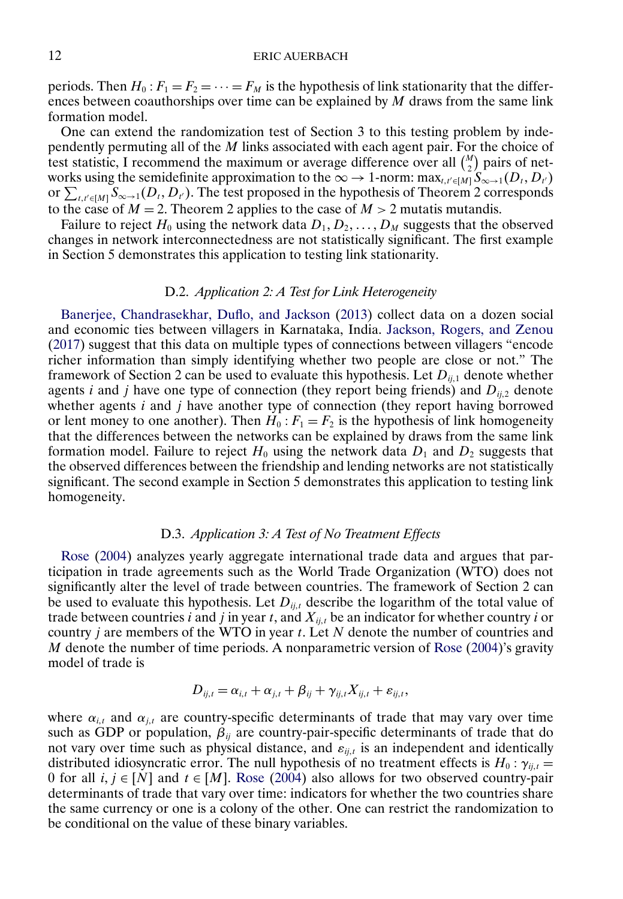<span id="page-11-0"></span>periods. Then  $H_0: F_1 = F_2 = \cdots = F_M$  is the hypothesis of link stationarity that the differences between coauthorships over time can be explained by  $M$  draws from the same link formation model.

One can extend the randomization test of Section 3 to this testing problem by independently permuting all of the M links associated with each agent pair. For the choice of test statistic, I recommend the maximum or average difference over all  $\binom{M}{2}$  pairs of networks using the semidefinite approximation to the  $\infty \to 1$ -norm:  $\max_{t,t' \in [M]} S_{\infty \to 1}(D_t, D_{t'})$ or  $\sum_{t,t' \in [M]} S_{\infty \to 1}(D_t, D_{t'})$ . The test proposed in the hypothesis of Theorem 2 corresponds to the case of  $M = 2$ . Theorem 2 applies to the case of  $M > 2$  mutatis mutandis.

Failure to reject  $H_0$  using the network data  $D_1, D_2, \ldots, D_M$  suggests that the observed changes in network interconnectedness are not statistically significant. The first example in Section 5 demonstrates this application to testing link stationarity.

## D.2. *Application 2: A Test for Link Heterogeneity*

[Banerjee, Chandrasekhar, Duflo, and Jackson](#page-17-0) [\(2013\)](#page-17-0) collect data on a dozen social and economic ties between villagers in Karnataka, India. [Jackson, Rogers, and Zenou](#page-18-0) [\(2017\)](#page-18-0) suggest that this data on multiple types of connections between villagers "encode richer information than simply identifying whether two people are close or not." The framework of Section 2 can be used to evaluate this hypothesis. Let  $D_{ij,1}$  denote whether agents *i* and *j* have one type of connection (they report being friends) and  $D_{ij,2}$  denote whether agents  $i$  and  $j$  have another type of connection (they report having borrowed or lent money to one another). Then  $H_0$ :  $F_1 = F_2$  is the hypothesis of link homogeneity that the differences between the networks can be explained by draws from the same link formation model. Failure to reject  $H_0$  using the network data  $D_1$  and  $D_2$  suggests that the observed differences between the friendship and lending networks are not statistically significant. The second example in Section 5 demonstrates this application to testing link homogeneity.

## D.3. *Application 3: A Test of No Treatment Effects*

[Rose](#page-18-0) [\(2004\)](#page-18-0) analyzes yearly aggregate international trade data and argues that participation in trade agreements such as the World Trade Organization (WTO) does not significantly alter the level of trade between countries. The framework of Section 2 can be used to evaluate this hypothesis. Let  $D_{ij,t}$  describe the logarithm of the total value of trade between countries i and j in year t, and  $X_{ij,t}$  be an indicator for whether country i or country *j* are members of the WTO in year  $t$ . Let  $N$  denote the number of countries and M denote the number of time periods. A nonparametric version of [Rose](#page-18-0) [\(2004\)](#page-18-0)'s gravity model of trade is

$$
D_{ij,t} = \alpha_{i,t} + \alpha_{j,t} + \beta_{ij} + \gamma_{ij,t} X_{ij,t} + \varepsilon_{ij,t},
$$

where  $\alpha_{i,t}$  and  $\alpha_{j,t}$  are country-specific determinants of trade that may vary over time such as GDP or population,  $\beta_{ij}$  are country-pair-specific determinants of trade that do not vary over time such as physical distance, and  $\varepsilon_{i,j,t}$  is an independent and identically distributed idiosyncratic error. The null hypothesis of no treatment effects is  $H_0: \gamma_{ij,t} =$ 0 for all  $i, j \in [N]$  and  $t \in [M]$ . [Rose](#page-18-0) [\(2004\)](#page-18-0) also allows for two observed country-pair determinants of trade that vary over time: indicators for whether the two countries share the same currency or one is a colony of the other. One can restrict the randomization to be conditional on the value of these binary variables.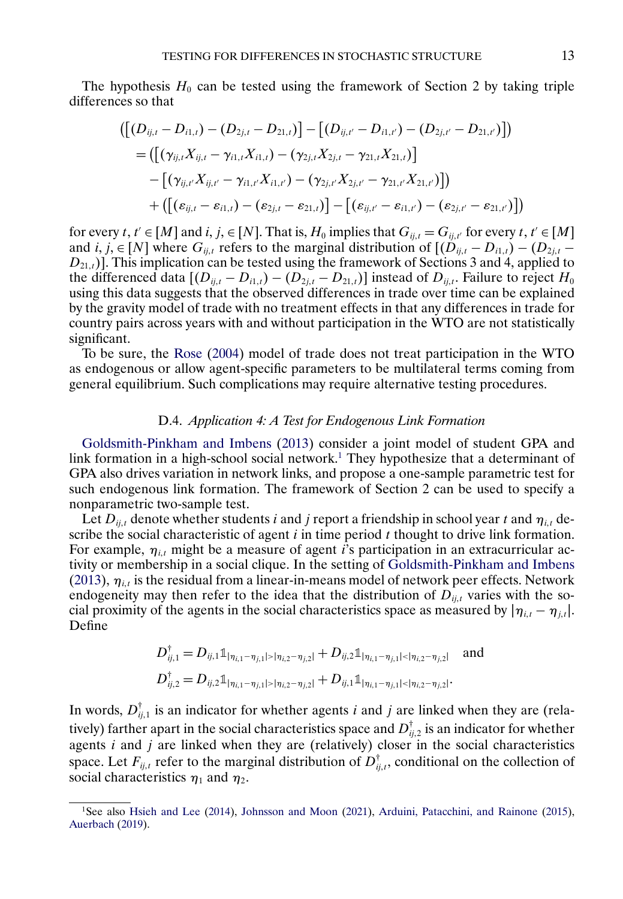<span id="page-12-0"></span>The hypothesis  $H_0$  can be tested using the framework of Section 2 by taking triple differences so that

$$
\begin{aligned} &\left(\left[(D_{ij,t}-D_{i1,t})-(D_{2j,t}-D_{21,t})\right]-\left[(D_{ij,t'}-D_{i1,t'})-(D_{2j,t'}-D_{21,t'})\right]\right)\\ &=\left(\left[(\gamma_{ij,t}X_{ij,t}-\gamma_{i1,t}X_{i1,t})-(\gamma_{2j,t}X_{2j,t}-\gamma_{21,t}X_{21,t})\right]\right.\\ &\left. -\left[(\gamma_{ij,t'}X_{ij,t'}-\gamma_{i1,t'}X_{i1,t'})-(\gamma_{2j,t'}X_{2j,t'}-\gamma_{21,t'}X_{21,t'})\right]\right)\\ &\quad+\left(\left[(\varepsilon_{ij,t}-\varepsilon_{i1,t})-(\varepsilon_{2j,t}-\varepsilon_{21,t})\right]-\left[(\varepsilon_{ij,t'}-\varepsilon_{i1,t'})-(\varepsilon_{2j,t'}-\varepsilon_{21,t'})\right]\right)\end{aligned}
$$

for every  $t, t' \in [M]$  and  $i, j, \in [N]$ . That is,  $H_0$  implies that  $G_{ij,t} = G_{ij,t'}$  for every  $t, t' \in [M]$ and  $i, j \in [N]$  where  $G_{ij,t}$  refers to the marginal distribution of  $[(D_{ij,t} - D_{i1,t}) - (D_{2j,t} - D_{i2,t})]$  $D_{21,t}$ ]. This implication can be tested using the framework of Sections 3 and 4, applied to the differenced data  $[(D_{ij,t} - D_{i1,t}) - (D_{2j,t} - D_{21,t})]$  instead of  $D_{ij,t}$ . Failure to reject  $H_0$ using this data suggests that the observed differences in trade over time can be explained by the gravity model of trade with no treatment effects in that any differences in trade for country pairs across years with and without participation in the WTO are not statistically significant.

To be sure, the [Rose](#page-18-0) [\(2004\)](#page-18-0) model of trade does not treat participation in the WTO as endogenous or allow agent-specific parameters to be multilateral terms coming from general equilibrium. Such complications may require alternative testing procedures.

## D.4. *Application 4: A Test for Endogenous Link Formation*

[Goldsmith-Pinkham and Imbens](#page-18-0) [\(2013\)](#page-18-0) consider a joint model of student GPA and link formation in a high-school social network.<sup>1</sup> They hypothesize that a determinant of GPA also drives variation in network links, and propose a one-sample parametric test for such endogenous link formation. The framework of Section 2 can be used to specify a nonparametric two-sample test.

Let  $D_{ij,t}$  denote whether students i and j report a friendship in school year t and  $\eta_{i,t}$  describe the social characteristic of agent  $i$  in time period  $t$  thought to drive link formation. For example,  $\eta_{i,t}$  might be a measure of agent *i*'s participation in an extracurricular activity or membership in a social clique. In the setting of [Goldsmith-Pinkham and Imbens](#page-18-0) [\(2013\)](#page-18-0),  $\eta_{i,t}$  is the residual from a linear-in-means model of network peer effects. Network endogeneity may then refer to the idea that the distribution of  $D_{ij,t}$  varies with the social proximity of the agents in the social characteristics space as measured by  $|\eta_{i,t} - \eta_{j,t}|$ . Define

$$
D_{ij,1}^{\dagger} = D_{ij,1} \mathbb{1}_{|\eta_{i,1} - \eta_{j,1}| > |\eta_{i,2} - \eta_{j,2}|} + D_{ij,2} \mathbb{1}_{|\eta_{i,1} - \eta_{j,1}| < |\eta_{i,2} - \eta_{j,2}|} \text{ and}
$$
  

$$
D_{ij,2}^{\dagger} = D_{ij,2} \mathbb{1}_{|\eta_{i,1} - \eta_{j,1}| > |\eta_{i,2} - \eta_{j,2}|} + D_{ij,1} \mathbb{1}_{|\eta_{i,1} - \eta_{j,1}| < |\eta_{i,2} - \eta_{j,2}|}.
$$

In words,  $D_{ij,1}^{\dagger}$  is an indicator for whether agents *i* and *j* are linked when they are (relatively) farther apart in the social characteristics space and  $D_{ij,2}^{\dagger}$  is an indicator for whether agents  $i$  and  $j$  are linked when they are (relatively) closer in the social characteristics space. Let  $F_{ij,t}$  refer to the marginal distribution of  $D_{ij,t}^{\dagger}$ , conditional on the collection of social characteristics  $\eta_1$  and  $\eta_2$ .

<sup>1</sup>See also [Hsieh and Lee](#page-18-0) [\(2014\)](#page-18-0), [Johnsson and Moon](#page-18-0) [\(2021\)](#page-18-0), [Arduini, Patacchini, and Rainone](#page-17-0) [\(2015\)](#page-17-0), [Auerbach](#page-17-0) [\(2019\)](#page-17-0).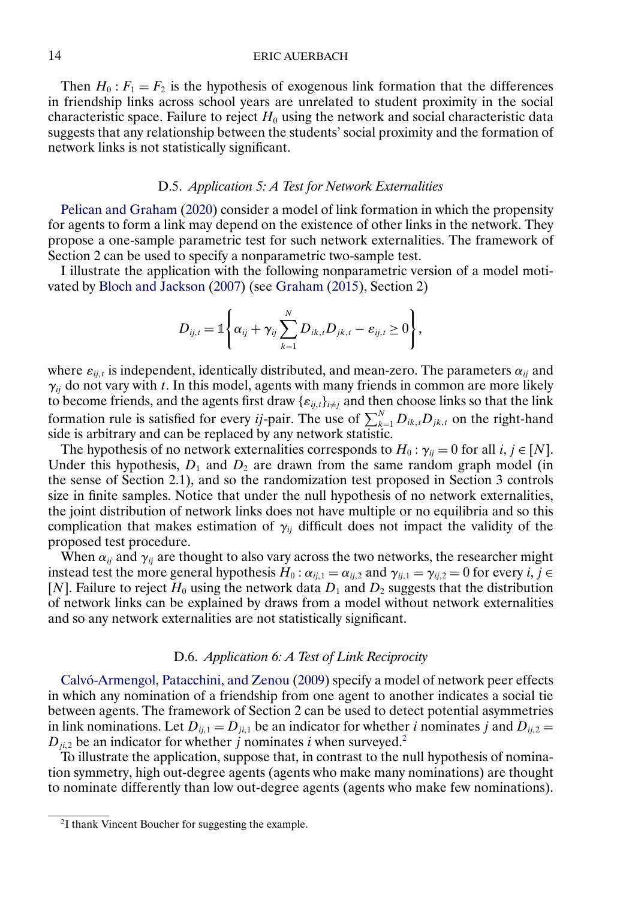<span id="page-13-0"></span>Then  $H_0: F_1 = F_2$  is the hypothesis of exogenous link formation that the differences in friendship links across school years are unrelated to student proximity in the social characteristic space. Failure to reject  $H_0$  using the network and social characteristic data suggests that any relationship between the students' social proximity and the formation of network links is not statistically significant.

## D.5. *Application 5: A Test for Network Externalities*

[Pelican and Graham](#page-18-0) [\(2020\)](#page-18-0) consider a model of link formation in which the propensity for agents to form a link may depend on the existence of other links in the network. They propose a one-sample parametric test for such network externalities. The framework of Section 2 can be used to specify a nonparametric two-sample test.

I illustrate the application with the following nonparametric version of a model motivated by [Bloch and Jackson](#page-17-0) [\(2007\)](#page-17-0) (see [Graham](#page-18-0) [\(2015\)](#page-18-0), Section 2)

$$
D_{ij,t} = \mathbb{1}\Bigg\{\alpha_{ij} + \gamma_{ij}\sum_{k=1}^N D_{ik,t}D_{jk,t} - \varepsilon_{ij,t} \geq 0\Bigg\},\,
$$

where  $\varepsilon_{ij,t}$  is independent, identically distributed, and mean-zero. The parameters  $\alpha_{ij}$  and  $\gamma_{ij}$  do not vary with t. In this model, agents with many friends in common are more likely to become friends, and the agents first draw  $\{\varepsilon_{ij,t}\}_{i\neq j}$  and then choose links so that the link formation rule is satisfied for every *ij*-pair. The use of  $\sum_{k=1}^{N} D_{ik,t} D_{jk,t}$  on the right-hand side is arbitrary and can be replaced by any network statistic.

The hypothesis of no network externalities corresponds to  $H_0: \gamma_{ij} = 0$  for all  $i, j \in [N]$ . Under this hypothesis,  $D_1$  and  $D_2$  are drawn from the same random graph model (in the sense of Section 2.1), and so the randomization test proposed in Section 3 controls size in finite samples. Notice that under the null hypothesis of no network externalities, the joint distribution of network links does not have multiple or no equilibria and so this complication that makes estimation of  $\gamma_{ij}$  difficult does not impact the validity of the proposed test procedure.

When  $\alpha_{ij}$  and  $\gamma_{ij}$  are thought to also vary across the two networks, the researcher might instead test the more general hypothesis  $H_0: \alpha_{ij,1} = \alpha_{ij,2}$  and  $\gamma_{ij,1} = \gamma_{ij,2} = 0$  for every  $i, j \in \mathbb{N}$ [N]. Failure to reject  $H_0$  using the network data  $D_1$  and  $D_2$  suggests that the distribution of network links can be explained by draws from a model without network externalities and so any network externalities are not statistically significant.

#### D.6. *Application 6: A Test of Link Reciprocity*

[Calvó-Armengol, Patacchini, and Zenou](#page-18-0) [\(2009\)](#page-18-0) specify a model of network peer effects in which any nomination of a friendship from one agent to another indicates a social tie between agents. The framework of Section 2 can be used to detect potential asymmetries in link nominations. Let  $D_{ij,1} = D_{ji,1}$  be an indicator for whether i nominates j and  $D_{ij,2} =$  $D_{ji,2}$  be an indicator for whether j nominates i when surveyed.<sup>2</sup>

To illustrate the application, suppose that, in contrast to the null hypothesis of nomination symmetry, high out-degree agents (agents who make many nominations) are thought to nominate differently than low out-degree agents (agents who make few nominations).

<sup>2</sup>I thank Vincent Boucher for suggesting the example.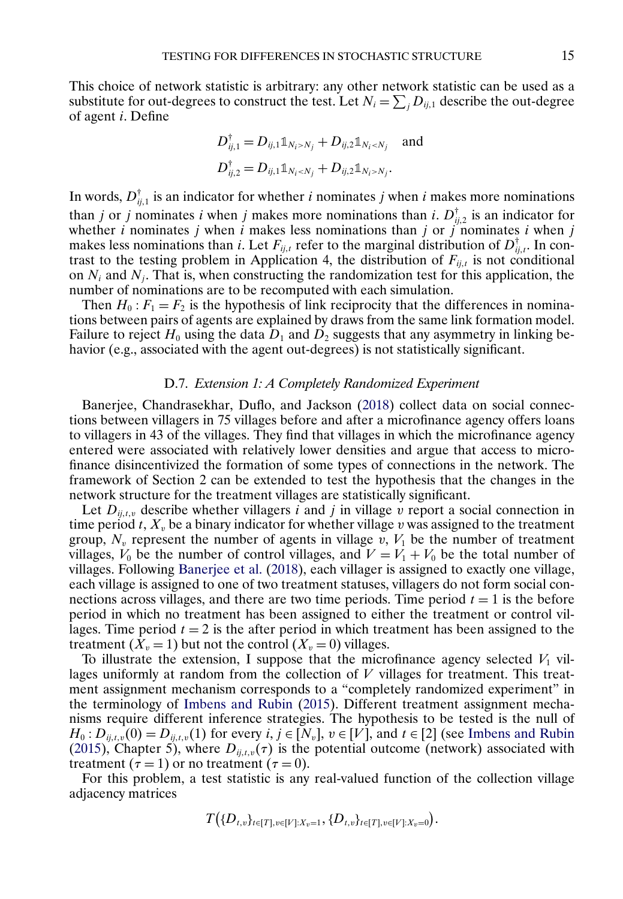<span id="page-14-0"></span>This choice of network statistic is arbitrary: any other network statistic can be used as a substitute for out-degrees to construct the test. Let  $N_i = \sum_j D_{ij,1}$  describe the out-degree of agent i. Define

$$
D_{ij,1}^{\dagger} = D_{ij,1} \mathbb{1}_{N_i > N_j} + D_{ij,2} \mathbb{1}_{N_i < N_j}
$$
 and  

$$
D_{ij,2}^{\dagger} = D_{ij,1} \mathbb{1}_{N_i < N_j} + D_{ij,2} \mathbb{1}_{N_i > N_j}.
$$

In words,  $D_{ij,1}^{\dagger}$  is an indicator for whether *i* nominates *j* when *i* makes more nominations than j or j nominates i when j makes more nominations than i.  $D_{ij,2}^{\dagger}$  is an indicator for whether i nominates j when i makes less nominations than j or j nominates i when j makes less nominations than *i*. Let  $F_{ij,t}$  refer to the marginal distribution of  $D_{ij,t}^{\dagger}$ . In contrast to the testing problem in Application 4, the distribution of  $F_{ij,t}$  is not conditional on  $N_i$  and  $N_j$ . That is, when constructing the randomization test for this application, the number of nominations are to be recomputed with each simulation.

Then  $H_0$ :  $F_1 = F_2$  is the hypothesis of link reciprocity that the differences in nominations between pairs of agents are explained by draws from the same link formation model. Failure to reject  $H_0$  using the data  $D_1$  and  $D_2$  suggests that any asymmetry in linking behavior (e.g., associated with the agent out-degrees) is not statistically significant.

## D.7. *Extension 1: A Completely Randomized Experiment*

Banerjee, Chandrasekhar, Duflo, and Jackson [\(2018\)](#page-17-0) collect data on social connections between villagers in 75 villages before and after a microfinance agency offers loans to villagers in 43 of the villages. They find that villages in which the microfinance agency entered were associated with relatively lower densities and argue that access to microfinance disincentivized the formation of some types of connections in the network. The framework of Section 2 can be extended to test the hypothesis that the changes in the network structure for the treatment villages are statistically significant.

Let  $D_{ij,t,v}$  describe whether villagers i and j in village v report a social connection in time period t,  $X_v$  be a binary indicator for whether village v was assigned to the treatment group,  $N_v$  represent the number of agents in village v,  $V_1$  be the number of treatment villages,  $V_0$  be the number of control villages, and  $V = V_1 + V_0$  be the total number of villages. Following [Banerjee et al.](#page-17-0) [\(2018\)](#page-17-0), each villager is assigned to exactly one village, each village is assigned to one of two treatment statuses, villagers do not form social connections across villages, and there are two time periods. Time period  $t = 1$  is the before period in which no treatment has been assigned to either the treatment or control villages. Time period  $t = 2$  is the after period in which treatment has been assigned to the treatment  $(X_v = 1)$  but not the control  $(X_v = 0)$  villages.

To illustrate the extension, I suppose that the microfinance agency selected  $V_1$  villages uniformly at random from the collection of  $V$  villages for treatment. This treatment assignment mechanism corresponds to a "completely randomized experiment" in the terminology of [Imbens and Rubin](#page-18-0) [\(2015\)](#page-18-0). Different treatment assignment mechanisms require different inference strategies. The hypothesis to be tested is the null of  $H_0: D_{ij,t,\nu}(0) = D_{ij,t,\nu}(1)$  for every  $i, j \in [N_{\nu}], v \in [V]$ , and  $t \in [2]$  (see [Imbens and Rubin](#page-18-0) [\(2015\)](#page-18-0), Chapter 5), where  $D_{ij,t,\nu}(\tau)$  is the potential outcome (network) associated with treatment ( $\tau = 1$ ) or no treatment ( $\tau = 0$ ).

For this problem, a test statistic is any real-valued function of the collection village adjacency matrices

$$
T(\{D_{t,v}\}_{t\in[T],v\in[V]:X_v=1},\{D_{t,v}\}_{t\in[T],v\in[V]:X_v=0}\big).
$$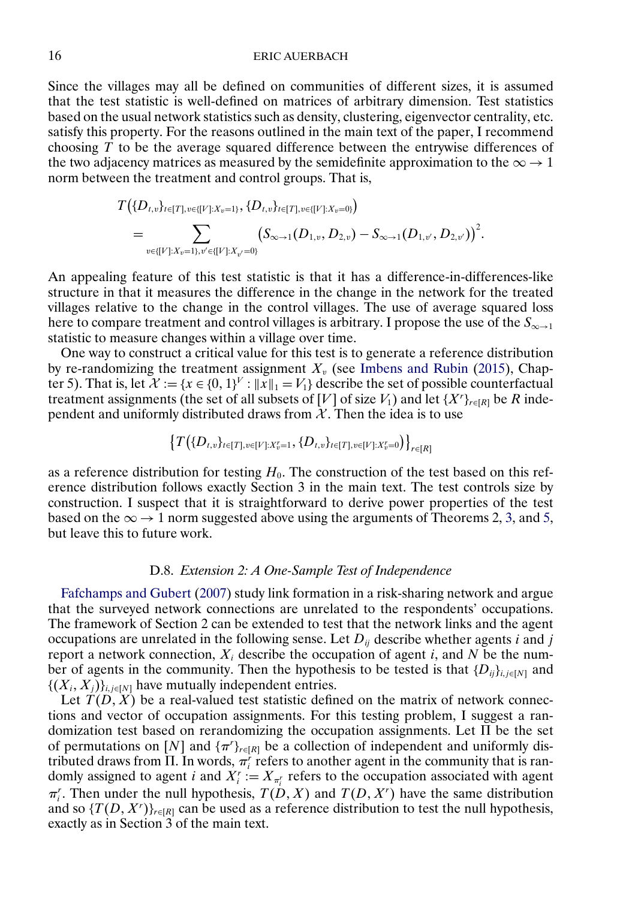<span id="page-15-0"></span>Since the villages may all be defined on communities of different sizes, it is assumed that the test statistic is well-defined on matrices of arbitrary dimension. Test statistics based on the usual network statistics such as density, clustering, eigenvector centrality, etc. satisfy this property. For the reasons outlined in the main text of the paper, I recommend choosing  $T$  to be the average squared difference between the entrywise differences of the two adjacency matrices as measured by the semidefinite approximation to the  $\infty \rightarrow 1$ norm between the treatment and control groups. That is,

$$
T(\{D_{t,v}\}_{t\in[T],v\in\{[V]:X_v=1\}},\{D_{t,v}\}_{t\in[T],v\in\{[V]:X_v=0\}})
$$
  
= 
$$
\sum_{v\in\{[V]:X_v=1\},v'\in\{[V]:X_{v'}=0\}} (S_{\infty\to1}(D_{1,v},D_{2,v})-S_{\infty\to1}(D_{1,v'},D_{2,v'}))^2.
$$

An appealing feature of this test statistic is that it has a difference-in-differences-like structure in that it measures the difference in the change in the network for the treated villages relative to the change in the control villages. The use of average squared loss here to compare treatment and control villages is arbitrary. I propose the use of the  $S_{\infty \to 1}$ statistic to measure changes within a village over time.

One way to construct a critical value for this test is to generate a reference distribution by re-randomizing the treatment assignment  $X_v$  (see [Imbens and Rubin](#page-18-0) [\(2015\)](#page-18-0), Chapter 5). That is, let  $\mathcal{X} := \{x \in \{0, 1\}^V : ||x||_1 = V_1\}$  describe the set of possible counterfactual treatment assignments (the set of all subsets of [V] of size  $V_1$ ) and let  $\{X^r\}_{r \in [R]}$  be R independent and uniformly distributed draws from  $\chi$ . Then the idea is to use

$$
\left\{T\big(\{D_{t,v}\}_{t\in[T],v\in[V]:X_v^r=1},\{D_{t,v}\}_{t\in[T],v\in[V]:X_v^r=0}\big)\right\}_{r\in[R]}
$$

as a reference distribution for testing  $H_0$ . The construction of the test based on this reference distribution follows exactly Section 3 in the main text. The test controls size by construction. I suspect that it is straightforward to derive power properties of the test based on the  $\infty \rightarrow 1$  norm suggested above using the arguments of Theorems 2, [3,](#page-0-0) and [5,](#page-5-0) but leave this to future work.

## D.8. *Extension 2: A One-Sample Test of Independence*

[Fafchamps and Gubert](#page-18-0) [\(2007\)](#page-18-0) study link formation in a risk-sharing network and argue that the surveyed network connections are unrelated to the respondents' occupations. The framework of Section 2 can be extended to test that the network links and the agent occupations are unrelated in the following sense. Let  $D_{ii}$  describe whether agents i and j report a network connection,  $X_i$  describe the occupation of agent i, and N be the number of agents in the community. Then the hypothesis to be tested is that  $\{D_{ij}\}_{i,j\in[N]}$  and  $\{(X_i, X_j)\}_{i,j \in [N]}$  have mutually independent entries.

Let  $T(D, X)$  be a real-valued test statistic defined on the matrix of network connections and vector of occupation assignments. For this testing problem, I suggest a randomization test based on rerandomizing the occupation assignments. Let  $\Pi$  be the set of permutations on [N] and  $\{\pi^r\}_{r \in [R]}$  be a collection of independent and uniformly distributed draws from  $\Pi$ . In words,  $\pi_i^r$  refers to another agent in the community that is randomly assigned to agent *i* and  $X_i^r := X_{\pi_i^r}$  refers to the occupation associated with agent  $\pi_i^r$ . Then under the null hypothesis,  $T(D, X)$  and  $T(D, X^r)$  have the same distribution and so  $\{T(D, X^r)\}_{r \in [R]}$  can be used as a reference distribution to test the null hypothesis, exactly as in Section 3 of the main text.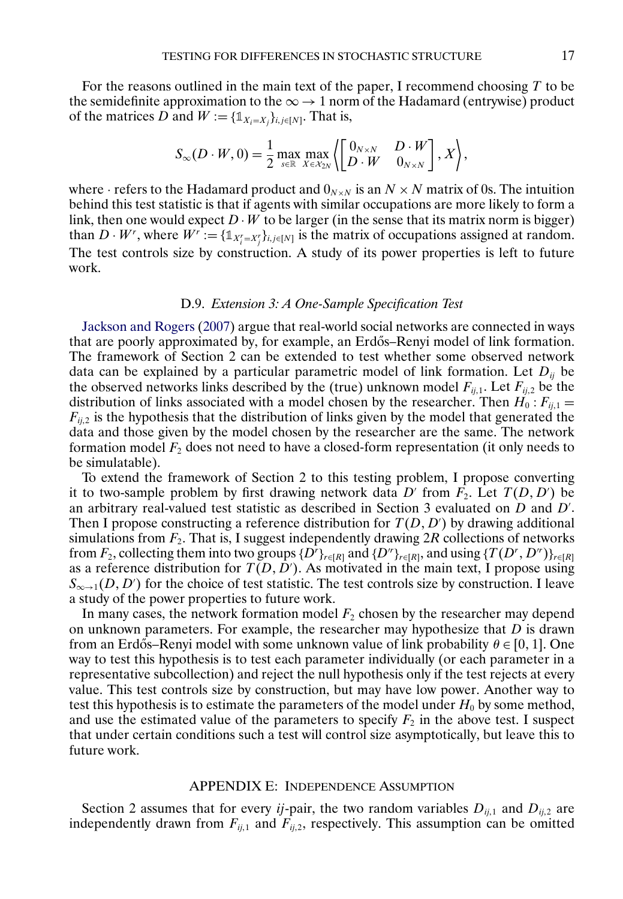<span id="page-16-0"></span>For the reasons outlined in the main text of the paper, I recommend choosing  $T$  to be the semidefinite approximation to the  $\infty \rightarrow 1$  norm of the Hadamard (entrywise) product of the matrices D and  $W := \{\mathbb{1}_{X_i=X_j}\}_{i,j\in[N]}$ . That is,

$$
S_{\infty}(D \cdot W, 0) = \frac{1}{2} \max_{s \in \mathbb{R}} \max_{X \in \mathcal{X}_{2N}} \left\langle \begin{bmatrix} 0_{N \times N} & D \cdot W \\ D \cdot W & 0_{N \times N} \end{bmatrix}, X \right\rangle,
$$

where · refers to the Hadamard product and  $0_{N \times N}$  is an  $N \times N$  matrix of 0s. The intuition behind this test statistic is that if agents with similar occupations are more likely to form a link, then one would expect  $D \cdot W$  to be larger (in the sense that its matrix norm is bigger) than  $D \cdot W^r$ , where  $W^r := \{1_{X_i^r = X_j^r}\}_{i,j \in [N]}$  is the matrix of occupations assigned at random. The test controls size by construction. A study of its power properties is left to future work.

# D.9. *Extension 3: A One-Sample Specification Test*

[Jackson and Rogers](#page-18-0) [\(2007\)](#page-18-0) argue that real-world social networks are connected in ways that are poorly approximated by, for example, an Erdős–Renyi model of link formation. The framework of Section 2 can be extended to test whether some observed network data can be explained by a particular parametric model of link formation. Let  $D_{ii}$  be the observed networks links described by the (true) unknown model  $F_{ij,1}$ . Let  $F_{ij,2}$  be the distribution of links associated with a model chosen by the researcher. Then  $H_0: F_{ij,1} =$  $F_{ij,2}$  is the hypothesis that the distribution of links given by the model that generated the data and those given by the model chosen by the researcher are the same. The network formation model  $F_2$  does not need to have a closed-form representation (it only needs to be simulatable).

To extend the framework of Section 2 to this testing problem, I propose converting it to two-sample problem by first drawing network data D' from  $F_2$ . Let  $T(D, D')$  be an arbitrary real-valued test statistic as described in Section 3 evaluated on  $D$  and  $D'$ . Then I propose constructing a reference distribution for  $T(D, D')$  by drawing additional simulations from  $F_2$ . That is, I suggest independently drawing 2R collections of networks from  $F_2$ , collecting them into two groups  $\{D^r\}_{r \in [R]}$  and  $\{D^r\}_{r \in [R]}$ , and using  $\{T(D^r, D^r)\}_{r \in [R]}$ as a reference distribution for  $T(D, D')$ . As motivated in the main text, I propose using  $S_{\infty\to 1}(D, D')$  for the choice of test statistic. The test controls size by construction. I leave a study of the power properties to future work.

In many cases, the network formation model  $F_2$  chosen by the researcher may depend on unknown parameters. For example, the researcher may hypothesize that  $D$  is drawn from an Erdős–Renyi model with some unknown value of link probability  $\theta \in [0, 1]$ . One way to test this hypothesis is to test each parameter individually (or each parameter in a representative subcollection) and reject the null hypothesis only if the test rejects at every value. This test controls size by construction, but may have low power. Another way to test this hypothesis is to estimate the parameters of the model under  $H_0$  by some method, and use the estimated value of the parameters to specify  $F_2$  in the above test. I suspect that under certain conditions such a test will control size asymptotically, but leave this to future work.

#### APPENDIX E: INDEPENDENCE ASSUMPTION

Section 2 assumes that for every *ij*-pair, the two random variables  $D_{ij,1}$  and  $D_{ij,2}$  are independently drawn from  $F_{ij,1}$  and  $F_{ij,2}$ , respectively. This assumption can be omitted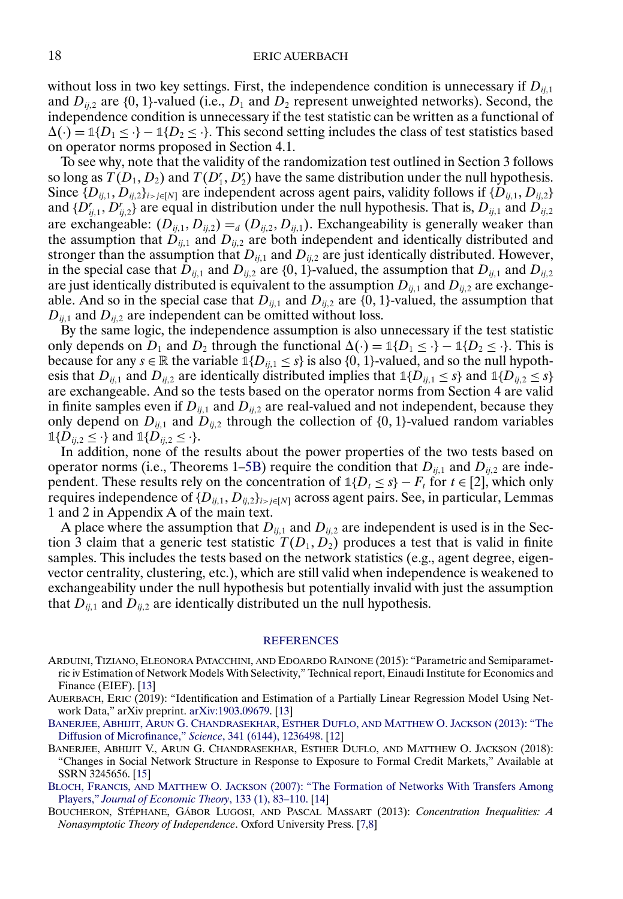<span id="page-17-0"></span>without loss in two key settings. First, the independence condition is unnecessary if  $D_{ij,1}$ and  $D_{ij,2}$  are {0, 1}-valued (i.e.,  $D_1$  and  $D_2$  represent unweighted networks). Second, the independence condition is unnecessary if the test statistic can be written as a functional of  $\Delta(\cdot) = \mathbb{1}{D_1 \leq \cdot} - \mathbb{1}{D_2 \leq \cdot}$ . This second setting includes the class of test statistics based on operator norms proposed in Section 4.1.

To see why, note that the validity of the randomization test outlined in Section 3 follows so long as  $T(D_1, D_2)$  and  $T(D_1, D_2')$  have the same distribution under the null hypothesis. Since  $\{D_{ij,1}, D_{ij,2}\}_{i>j\in[N]}$  are independent across agent pairs, validity follows if  $\{D_{ij,1}, D_{ij,2}\}\$ and  $\{D_{ij,1}^r, D_{ij,2}^r\}$  are equal in distribution under the null hypothesis. That is,  $D_{ij,1}$  and  $D_{ij,2}$ are exchangeable:  $(D_{ij,1}, D_{ij,2}) =_d (D_{ij,2}, D_{ij,1})$ . Exchangeability is generally weaker than the assumption that  $D_{ij,1}$  and  $D_{ij,2}$  are both independent and identically distributed and stronger than the assumption that  $D_{ij,1}$  and  $D_{ij,2}$  are just identically distributed. However, in the special case that  $D_{ij,1}$  and  $D_{ij,2}$  are {0, 1}-valued, the assumption that  $D_{ij,1}$  and  $D_{ij,2}$ are just identically distributed is equivalent to the assumption  $D_{ij,1}$  and  $D_{ij,2}$  are exchangeable. And so in the special case that  $D_{ij,1}$  and  $D_{ij,2}$  are {0, 1}-valued, the assumption that  $D_{ij,1}$  and  $D_{ij,2}$  are independent can be omitted without loss.

By the same logic, the independence assumption is also unnecessary if the test statistic only depends on  $D_1$  and  $D_2$  through the functional  $\Delta(\cdot) = \mathbb{1}{D_1 \leq \cdot} - \mathbb{1}{D_2 \leq \cdot}$ . This is because for any  $s \in \mathbb{R}$  the variable  $\mathbb{1}{D_{ij,1} \leq s}$  is also  $\{0, 1\}$ -valued, and so the null hypothesis that  $D_{ij,1}$  and  $D_{ij,2}$  are identically distributed implies that  $\mathbb{1}{D_{ij,1} \leq s}$  and  $\mathbb{1}{D_{ij,2} \leq s}$ are exchangeable. And so the tests based on the operator norms from Section 4 are valid in finite samples even if  $D_{ij,1}$  and  $D_{ij,2}$  are real-valued and not independent, because they only depend on  $D_{ij,1}$  and  $D_{ij,2}$  through the collection of  $\{0, 1\}$ -valued random variables  $\mathbb{1}{\{D_{ij,2} \leq \cdot\}}$  and  $\mathbb{1}{\{D_{ij,2} \leq \cdot\}}$ .

In addition, none of the results about the power properties of the two tests based on operator norms (i.e., Theorems 1[–5B\)](#page-5-0) require the condition that  $D_{ij,1}$  and  $D_{ij,2}$  are independent. These results rely on the concentration of  $1\{D_t \leq s\} - F_t$  for  $t \in [2]$ , which only requires independence of  $\{D_{ij,1}, D_{ij,2}\}_{i>j\in[N]}$  across agent pairs. See, in particular, Lemmas 1 and 2 in Appendix A of the main text.

A place where the assumption that  $D_{ij,1}$  and  $D_{ij,2}$  are independent is used is in the Section 3 claim that a generic test statistic  $T(D_1, D_2)$  produces a test that is valid in finite samples. This includes the tests based on the network statistics (e.g., agent degree, eigenvector centrality, clustering, etc.), which are still valid when independence is weakened to exchangeability under the null hypothesis but potentially invalid with just the assumption that  $D_{ij,1}$  and  $D_{ij,2}$  are identically distributed un the null hypothesis.

#### [REFERENCES](http://www.e-publications.org/srv/ecta/linkserver/setprefs?rfe_id=urn:sici%2F0012-9682%282022%2990%3A3%2B%3C1%3ASTTFDI%3E2.0.CO%3B2-S)

ARDUINI, TIZIANO, ELEONORA PATACCHINI, AND EDOARDO RAINONE (2015): "Parametric and Semiparametric iv Estimation of Network Models With Selectivity," Technical report, Einaudi Institute for Economics and Finance (EIEF). [\[13\]](#page-12-0)

BANERJEE, ABHIJIT, ARUN [G. CHANDRASEKHAR, ESTHER](http://www.e-publications.org/srv/ecta/linkserver/openurl?rft_dat=bib:3/banerjee2013diffusion&rfe_id=urn:sici%2F0012-9682%282022%2990%3A3%2B%3C1%3ASTTFDI%3E2.0.CO%3B2-S) DUFLO, AND MATTHEW O. JACKSON (2013): "The [Diffusion of Microfinance,"](http://www.e-publications.org/srv/ecta/linkserver/openurl?rft_dat=bib:3/banerjee2013diffusion&rfe_id=urn:sici%2F0012-9682%282022%2990%3A3%2B%3C1%3ASTTFDI%3E2.0.CO%3B2-S) *Science*, 341 (6144), 1236498. [\[12\]](#page-11-0)

BANERJEE, ABHIJIT V., ARUN G. CHANDRASEKHAR, ESTHER DUFLO, AND MATTHEW O. JACKSON (2018): "Changes in Social Network Structure in Response to Exposure to Formal Credit Markets," Available at SSRN 3245656. [\[15\]](#page-14-0)

BLOCH, FRANCIS, AND MATTHEW O. JACKSON [\(2007\): "The Formation of Networks With Transfers Among](http://www.e-publications.org/srv/ecta/linkserver/openurl?rft_dat=bib:5/bloch2007formation&rfe_id=urn:sici%2F0012-9682%282022%2990%3A3%2B%3C1%3ASTTFDI%3E2.0.CO%3B2-S) Players," *[Journal of Economic Theory](http://www.e-publications.org/srv/ecta/linkserver/openurl?rft_dat=bib:5/bloch2007formation&rfe_id=urn:sici%2F0012-9682%282022%2990%3A3%2B%3C1%3ASTTFDI%3E2.0.CO%3B2-S)*, 133 (1), 83–110. [\[14\]](#page-13-0)

BOUCHERON, STÉPHANE, GÁBOR LUGOSI, AND PASCAL MASSART (2013): *Concentration Inequalities: A Nonasymptotic Theory of Independence*. Oxford University Press. [\[7,](#page-6-0)[8\]](#page-7-0)

AUERBACH, ERIC (2019): "Identification and Estimation of a Partially Linear Regression Model Using Network Data," arXiv preprint. [arXiv:1903.09679](http://arxiv.org/abs/arXiv:1903.09679). [\[13\]](#page-12-0)